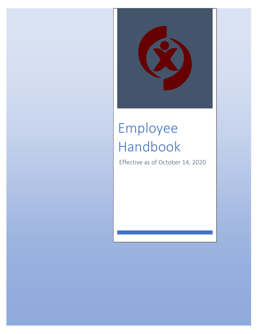

# Employee Handbook

Effective as of October 14, 2020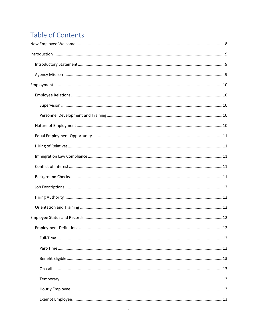## Table of Contents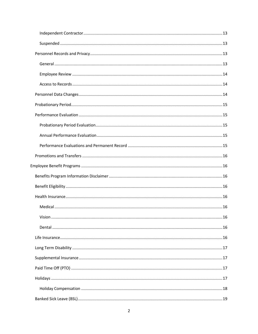| . 16 |
|------|
|      |
|      |
|      |
|      |
|      |
|      |
|      |
|      |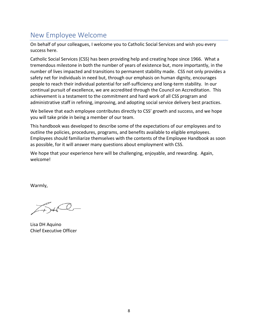## <span id="page-8-0"></span>New Employee Welcome

On behalf of your colleagues, I welcome you to Catholic Social Services and wish you every success here.

Catholic Social Services (CSS) has been providing help and creating hope since 1966. What a tremendous milestone in both the number of years of existence but, more importantly, in the number of lives impacted and transitions to permanent stability made. CSS not only provides a safety net for individuals in need but, through our emphasis on human dignity, encourages people to reach their individual potential for self-sufficiency and long-term stability. In our continual pursuit of excellence, we are accredited through the Council on Accreditation. This achievement is a testament to the commitment and hard work of all CSS program and administrative staff in refining, improving, and adopting social service delivery best practices.

We believe that each employee contributes directly to CSS' growth and success, and we hope you will take pride in being a member of our team.

This handbook was developed to describe some of the expectations of our employees and to outline the policies, procedures, programs, and benefits available to eligible employees. Employees should familiarize themselves with the contents of the Employee Handbook as soon as possible, for it will answer many questions about employment with CSS.

We hope that your experience here will be challenging, enjoyable, and rewarding. Again, welcome!

Warmly,

Lisa DH Aquino Chief Executive Officer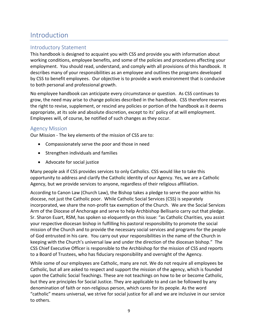## <span id="page-9-0"></span>Introduction

## <span id="page-9-1"></span>Introductory Statement

This handbook is designed to acquaint you with CSS and provide you with information about working conditions, employee benefits, and some of the policies and procedures affecting your employment. You should read, understand, and comply with all provisions of this handbook. It describes many of your responsibilities as an employee and outlines the programs developed by CSS to benefit employees. Our objective is to provide a work environment that is conducive to both personal and professional growth.

No employee handbook can anticipate every circumstance or question. As CSS continues to grow, the need may arise to change policies described in the handbook. CSS therefore reserves the right to revise, supplement, or rescind any policies or portion of the handbook as it deems appropriate, at its sole and absolute discretion, except to its' policy of at will employment. Employees will, of course, be notified of such changes as they occur.

## <span id="page-9-2"></span>Agency Mission

Our Mission - The key elements of the mission of CSS are to:

- Compassionately serve the poor and those in need
- Strengthen individuals and families
- Advocate for social justice

Many people ask if CSS provides services to only Catholics. CSS would like to take this opportunity to address and clarify the Catholic identity of our Agency. Yes, we are a Catholic Agency, but we provide services to anyone, regardless of their religious affiliation.

According to Canon Law (Church Law), the Bishop takes a pledge to serve the poor within his diocese, not just the Catholic poor. While Catholic Social Services (CSS) is separately incorporated, we share the non-profit tax exemption of the Church. We are the Social Services Arm of the Diocese of Anchorage and serve to help Archbishop Bellisario carry out that pledge. Sr. Sharon Euart, RSM, has spoken so eloquently on this issue: "as Catholic Charities, you assist your respective diocesan bishop in fulfilling his pastoral responsibility to promote the social mission of the Church and to provide the necessary social services and programs for the people of God entrusted in his care. You carry out your responsibilities in the name of the Church in keeping with the Church's universal law and under the direction of the diocesan bishop." The CSS Chief Executive Officer is responsible to the Archbishop for the mission of CSS and reports to a Board of Trustees, who has fiduciary responsibility and oversight of the Agency.

While some of our employees are Catholic, many are not. We do not require all employees be Catholic, but all are asked to respect and support the mission of the agency, which is founded upon the Catholic Social Teachings. These are not teachings on how to be or become Catholic, but they are principles for Social Justice. They are applicable to and can be followed by any denomination of faith or non-religious person, which cares for its people. As the word "catholic" means universal, we strive for social justice for all and we are inclusive in our service to others.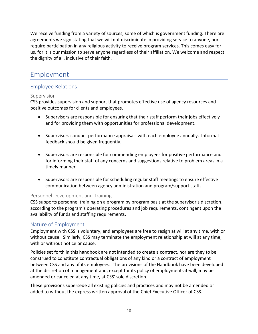We receive funding from a variety of sources, some of which is government funding. There are agreements we sign stating that we will not discriminate in providing service to anyone, nor require participation in any religious activity to receive program services. This comes easy for us, for it is our mission to serve anyone regardless of their affiliation. We welcome and respect the dignity of all, inclusive of their faith.

## <span id="page-10-0"></span>Employment

## <span id="page-10-1"></span>Employee Relations

## <span id="page-10-2"></span>Supervision

CSS provides supervision and support that promotes effective use of agency resources and positive outcomes for clients and employees.

- Supervisors are responsible for ensuring that their staff perform their jobs effectively and for providing them with opportunities for professional development.
- Supervisors conduct performance appraisals with each employee annually. Informal feedback should be given frequently.
- Supervisors are responsible for commending employees for positive performance and for informing their staff of any concerns and suggestions relative to problem areas in a timely manner.
- Supervisors are responsible for scheduling regular staff meetings to ensure effective communication between agency administration and program/support staff.

## <span id="page-10-3"></span>Personnel Development and Training

CSS supports personnel training on a program by program basis at the supervisor's discretion, according to the program's operating procedures and job requirements, contingent upon the availability of funds and staffing requirements.

## <span id="page-10-4"></span>Nature of Employment

Employment with CSS is voluntary, and employees are free to resign at will at any time, with or without cause. Similarly, CSS may terminate the employment relationship at will at any time, with or without notice or cause.

Policies set forth in this handbook are not intended to create a contract, nor are they to be construed to constitute contractual obligations of any kind or a contract of employment between CSS and any of its employees. The provisions of the Handbook have been developed at the discretion of management and, except for its policy of employment-at-will, may be amended or canceled at any time, at CSS' sole discretion.

These provisions supersede all existing policies and practices and may not be amended or added to without the express written approval of the Chief Executive Officer of CSS.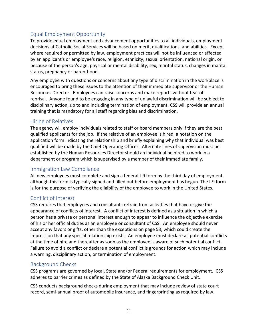## <span id="page-11-0"></span>Equal Employment Opportunity

To provide equal employment and advancement opportunities to all individuals, employment decisions at Catholic Social Services will be based on merit, qualifications, and abilities. Except where required or permitted by law, employment practices will not be influenced or affected by an applicant's or employee's race, religion, ethnicity, sexual orientation, national origin, or because of the person's age, physical or mental disability, sex, marital status, changes in marital status, pregnancy or parenthood.

Any employee with questions or concerns about any type of discrimination in the workplace is encouraged to bring these issues to the attention of their immediate supervisor or the Human Resources Director. Employees can raise concerns and make reports without fear of reprisal. Anyone found to be engaging in any type of unlawful discrimination will be subject to disciplinary action, up to and including termination of employment. CSS will provide an annual training that is mandatory for all staff regarding bias and discrimination.

## <span id="page-11-1"></span>Hiring of Relatives

The agency will employ individuals related to staff or board members only if they are the best qualified applicants for the job. If the relative of an employee is hired, a notation on the application form indicating the relationship and briefly explaining why that individual was best qualified will be made by the Chief Operating Officer. Alternate lines of supervision must be established by the Human Resources Director should an individual be hired to work in a department or program which is supervised by a member of their immediate family.

## <span id="page-11-2"></span>Immigration Law Compliance

All new employees must complete and sign a federal I-9 form by the third day of employment, although this form is typically signed and filled out before employment has begun. The I-9 form is for the purpose of verifying the eligibility of the employee to work in the United States.

## <span id="page-11-3"></span>Conflict of Interest

CSS requires that employees and consultants refrain from activities that have or give the appearance of conflicts of interest. A conflict of interest is defined as a situation in which a person has a private or personal interest enough to appear to influence the objective exercise of his or her official duties as an employee or consultant of CSS. An employee should never accept any favors or gifts, other than the exceptions on page 53, which could create the impression that any special relationship exists. An employee must declare all potential conflicts at the time of hire and thereafter as soon as the employee is aware of such potential conflict. Failure to avoid a conflict or declare a potential conflict is grounds for action which may include a warning, disciplinary action, or termination of employment.

## <span id="page-11-4"></span>Background Checks

CSS programs are governed by local, State and/or Federal requirements for employment. CSS adheres to barrier crimes as defined by the State of Alaska Background Check Unit.

CSS conducts background checks during employment that may include review of state court record, semi-annual proof of automobile insurance, and fingerprinting as required by law.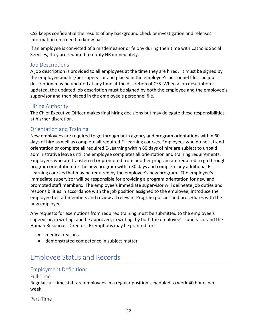CSS keeps confidential the results of any background check or investigation and releases information on a need to know basis.

If an employee is convicted of a misdemeanor or felony during their time with Catholic Social Services, they are required to notify HR immediately.

## <span id="page-12-0"></span>Job Descriptions

A job description is provided to all employees at the time they are hired. It must be signed by the employee and his/her supervisor and placed in the employee's personnel file. The job description may be updated at any time at the discretion of CSS. When a job description is updated, the updated job description must be signed by both the employee and the employee's supervisor and then placed in the employee's personnel file.

## <span id="page-12-1"></span>Hiring Authority

The Chief Executive Officer makes final hiring decisions but may delegate these responsibilities at his/her discretion.

## <span id="page-12-2"></span>Orientation and Training

New employees are required to go through both agency and program orientations within 60 days of hire as well as complete all required E-Learning courses. Employees who do not attend orientation or complete all required E-Learning within 60 days of hire are subject to unpaid administrative leave until the employee completes all orientation and training requirements. Employees who are transferred or promoted from another program are required to go through program orientation for the new program within 30 days and complete any additional E-Learning courses that may be required by the employee's new program. The employee's immediate supervisor will be responsible for providing a program orientation for new and promoted staff members. The employee's immediate supervisor will delineate job duties and responsibilities in accordance with the job position assigned to the employee, introduce the employee to staff members and review all relevant Program policies and procedures with the new employee.

Any requests for exemptions from required training must be submitted to the employee's supervisor, in writing, and be approved, in writing, by both the employee's supervisor and the Human Resources Director. Exemptions may be granted for:

- medical reasons
- demonstrated competence in subject matter

## <span id="page-12-3"></span>Employee Status and Records

## <span id="page-12-4"></span>Employment Definitions

## <span id="page-12-5"></span>Full-Time

Regular full-time staff are employees in a regular position scheduled to work 40 hours per week.

<span id="page-12-6"></span>Part-Time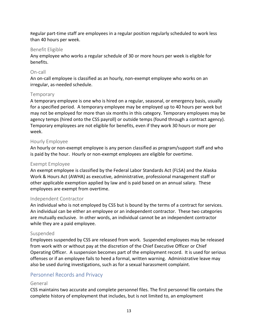Regular part-time staff are employees in a regular position regularly scheduled to work less than 40 hours per week.

### <span id="page-13-0"></span>Benefit Eligible

Any employee who works a regular schedule of 30 or more hours per week is eligible for benefits.

### <span id="page-13-1"></span>On-call

An on-call employee is classified as an hourly, non-exempt employee who works on an irregular, as-needed schedule.

### <span id="page-13-2"></span>**Temporary**

A temporary employee is one who is hired on a regular, seasonal, or emergency basis, usually for a specified period. A temporary employee may be employed up to 40 hours per week but may not be employed for more than six months in this category. Temporary employees may be agency temps (hired onto the CSS payroll) or outside temps (found through a contract agency). Temporary employees are not eligible for benefits, even if they work 30 hours or more per week.

### <span id="page-13-3"></span>Hourly Employee

An hourly or non-exempt employee is any person classified as program/support staff and who is paid by the hour. Hourly or non-exempt employees are eligible for overtime.

### <span id="page-13-4"></span>Exempt Employee

An exempt employee is classified by the Federal Labor Standards Act (FLSA) and the Alaska Work & Hours Act (AWHA) as executive, administrative, professional management staff or other applicable exemption applied by law and is paid based on an annual salary. These employees are exempt from overtime.

#### <span id="page-13-5"></span>Independent Contractor

An individual who is not employed by CSS but is bound by the terms of a contract for services. An individual can be either an employee or an independent contractor. These two categories are mutually exclusive. In other words, an individual cannot be an independent contractor while they are a paid employee.

#### <span id="page-13-6"></span>Suspended

Employees suspended by CSS are released from work. Suspended employees may be released from work with or without pay at the discretion of the Chief Executive Officer or Chief Operating Officer. A suspension becomes part of the employment record. It is used for serious offenses or if an employee fails to heed a formal, written warning. Administrative leave may also be used during investigations, such as for a sexual harassment complaint.

## <span id="page-13-7"></span>Personnel Records and Privacy

## <span id="page-13-8"></span>General

CSS maintains two accurate and complete personnel files. The first personnel file contains the complete history of employment that includes, but is not limited to, an employment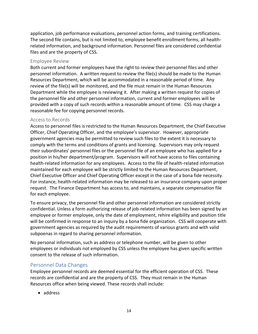application, job performance evaluations, personnel action forms, and training certifications. The second file contains, but is not limited to, employee benefit enrollment forms, all healthrelated information, and background information. Personnel files are considered confidential files and are the property of CSS.

### <span id="page-14-0"></span>Employee Review

Both current and former employees have the right to review their personnel files and other personnel information. A written request to review the file(s) should be made to the Human Resources Department, which will be accommodated in a reasonable period of time. Any review of the file(s) will be monitored, and the file must remain in the Human Resources Department while the employee is reviewing it. After making a written request for copies of the personnel file and other personnel information, current and former employees will be provided with a copy of such records within a reasonable amount of time. CSS may charge a reasonable fee for copying personnel records.

#### <span id="page-14-1"></span>Access to Records

Access to personnel files is restricted to the Human Resources Department, the Chief Executive Officer, Chief Operating Officer, and the employee's supervisor. However, appropriate government agencies may be permitted to review such files to the extent it is necessary to comply with the terms and conditions of grants and licensing. Supervisors may only request their subordinates' personnel files or the personnel file of an employee who has applied for a position in his/her department/program. Supervisors will not have access to files containing health-related information for any employees. Access to the file of health-related information maintained for each employee will be strictly limited to the Human Resources Department, Chief Executive Officer and Chief Operating Officer except in the case of a bona fide necessity. For instance, health-related information may be released to an insurance company upon proper request. The Finance Department has access to, and maintains, a separate compensation file for each employee.

To ensure privacy, the personnel file and other personnel information are considered strictly confidential. Unless a form authorizing release of job-related information has been signed by an employee or former employee, only the date of employment, rehire eligibility and position title will be confirmed in response to an inquiry by a bona fide organization. CSS will cooperate with government agencies as required by the audit requirements of various grants and with valid subpoenas in regard to sharing personnel information.

No personal information, such as address or telephone number, will be given to other employees or individuals not employed by CSS unless the employee has given specific written consent to the release of such information.

## <span id="page-14-2"></span>Personnel Data Changes

Employee personnel records are deemed essential for the efficient operation of CSS. These records are confidential and are the property of CSS. They must remain in the Human Resources office when being viewed. These records shall include:

• address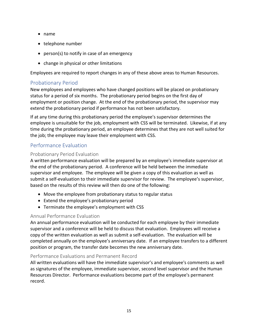- name
- telephone number
- person(s) to notify in case of an emergency
- change in physical or other limitations

Employees are required to report changes in any of these above areas to Human Resources.

## <span id="page-15-0"></span>Probationary Period

New employees and employees who have changed positions will be placed on probationary status for a period of six months. The probationary period begins on the first day of employment or position change. At the end of the probationary period, the supervisor may extend the probationary period if performance has not been satisfactory.

If at any time during this probationary period the employee's supervisor determines the employee is unsuitable for the job, employment with CSS will be terminated. Likewise, if at any time during the probationary period, an employee determines that they are not well suited for the job; the employee may leave their employment with CSS.

## <span id="page-15-1"></span>Performance Evaluation

## <span id="page-15-2"></span>Probationary Period Evaluation

A written performance evaluation will be prepared by an employee's immediate supervisor at the end of the probationary period. A conference will be held between the immediate supervisor and employee. The employee will be given a copy of this evaluation as well as submit a self-evaluation to their immediate supervisor for review. The employee's supervisor, based on the results of this review will then do one of the following:

- Move the employee from probationary status to regular status
- Extend the employee's probationary period
- Terminate the employee's employment with CSS

## <span id="page-15-3"></span>Annual Performance Evaluation

An annual performance evaluation will be conducted for each employee by their immediate supervisor and a conference will be held to discuss that evaluation. Employees will receive a copy of the written evaluation as well as submit a self-evaluation. The evaluation will be completed annually on the employee's anniversary date. If an employee transfers to a different position or program, the transfer date becomes the new anniversary date.

## <span id="page-15-4"></span>Performance Evaluations and Permanent Record

All written evaluations will have the immediate supervisor's and employee's comments as well as signatures of the employee, immediate supervisor, second level supervisor and the Human Resources Director. Performance evaluations become part of the employee's permanent record.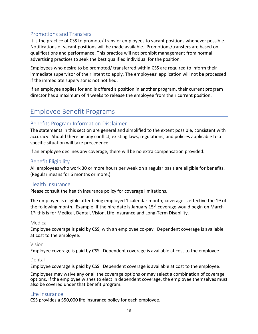## <span id="page-16-0"></span>Promotions and Transfers

It is the practice of CSS to promote/ transfer employees to vacant positions whenever possible. Notifications of vacant positions will be made available. Promotions/transfers are based on qualifications and performance. This practice will not prohibit management from normal advertising practices to seek the best qualified individual for the position.

Employees who desire to be promoted/ transferred within CSS are required to inform their immediate supervisor of their intent to apply. The employees' application will not be processed if the immediate supervisor is not notified.

If an employee applies for and is offered a position in another program, their current program director has a maximum of 4 weeks to release the employee from their current position.

## <span id="page-16-1"></span>Employee Benefit Programs

## <span id="page-16-2"></span>Benefits Program Information Disclaimer

The statements in this section are general and simplified to the extent possible, consistent with accuracy. Should there be any conflict, existing laws, regulations, and policies applicable to a specific situation will take precedence.

If an employee declines any coverage, there will be no extra compensation provided.

## <span id="page-16-3"></span>Benefit Eligibility

All employees who work 30 or more hours per week on a regular basis are eligible for benefits. (Regular means for 6 months or more.)

## <span id="page-16-4"></span>Health Insurance

Please consult the health insurance policy for coverage limitations.

The employee is eligible after being employed 1 calendar month; coverage is effective the  $1<sup>st</sup>$  of the following month. Example: if the hire date is January  $15<sup>th</sup>$  coverage would begin on March 1<sup>st,</sup> this is for Medical, Dental, Vision, Life Insurance and Long-Term Disability.

## <span id="page-16-5"></span>Medical

Employee coverage is paid by CSS, with an employee co-pay. Dependent coverage is available at cost to the employee.

## <span id="page-16-6"></span>Vision

Employee coverage is paid by CSS. Dependent coverage is available at cost to the employee.

## <span id="page-16-7"></span>Dental

Employee coverage is paid by CSS. Dependent coverage is available at cost to the employee.

Employees may waive any or all the coverage options or may select a combination of coverage options. If the employee wishes to elect in dependent coverage, the employee themselves must also be covered under that benefit program.

## <span id="page-16-8"></span>Life Insurance

CSS provides a \$50,000 life insurance policy for each employee.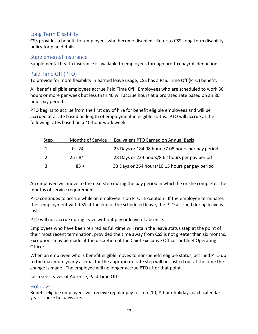## <span id="page-17-0"></span>Long Term Disability

CSS provides a benefit for employees who become disabled. Refer to CSS' long-term disability policy for plan details.

## <span id="page-17-1"></span>Supplemental Insurance

Supplemental health insurance is available to employees through pre-tax payroll deduction.

## <span id="page-17-2"></span>Paid Time Off (PTO)

To provide for more flexibility in earned leave usage, CSS has a Paid Time Off (PTO) benefit.

All benefit eligible employees accrue Paid Time Off. Employees who are scheduled to work 30 hours or more per week but less than 40 will accrue hours at a prorated rate based on an 80 hour pay period.

PTO begins to accrue from the first day of hire for benefit eligible employees and will be accrued at a rate based on length of employment in eligible status. PTO will accrue at the following rates based on a 40-hour work week:

| Step          | <b>Months of Service</b> | Equivalent PTO Earned on Annual Basis             |
|---------------|--------------------------|---------------------------------------------------|
| 1             | $0 - 24$                 | 23 Days or 184.08 hours/7.08 hours per pay period |
| $\mathcal{L}$ | -25 - 84                 | 28 Days or 224 hours/8.62 hours per pay period    |
| ₹             | $85 +$                   | 33 Days or 264 hours/10.15 hours per pay period   |

An employee will move to the next step during the pay period in which he or she completes the months of service requirement.

PTO continues to accrue while an employee is on PTO. Exception: If the employee terminates their employment with CSS at the end of the scheduled leave, the PTO accrued during leave is lost.

PTO will not accrue during leave without pay or leave of absence.

Employees who have been rehired as full-time will retain the leave status step at the point of their most recent termination, provided the time away from CSS is not greater than six months. Exceptions may be made at the discretion of the Chief Executive Officer or Chief Operating Officer.

When an employee who is benefit eligible moves to non-benefit eligible status, accrued PTO up to the maximum yearly accrual for the appropriate rate step will be cashed out at the time the change is made. The employee will no longer accrue PTO after that point.

(also see Leaves of Absence, Paid Time Off)

## <span id="page-17-3"></span>**Holidays**

Benefit eligible employees will receive regular pay for ten (10) 8-hour holidays each calendar year. These holidays are: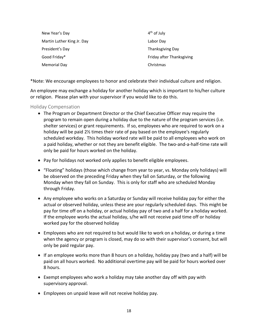| New Year's Day             | $4th$ of July             |
|----------------------------|---------------------------|
| Martin Luther King Jr. Day | Labor Day                 |
| President's Day            | Thanksgiving Day          |
| Good Friday*               | Friday after Thanksgiving |
| Memorial Day               | Christmas                 |

\*Note: We encourage employees to honor and celebrate their individual culture and religion.

An employee may exchange a holiday for another holiday which is important to his/her culture or religion. Please plan with your supervisor if you would like to do this.

#### <span id="page-18-0"></span>Holiday Compensation

- The Program or Department Director or the Chief Executive Officer may require the program to remain open during a holiday due to the nature of the program services (i.e. shelter services) or grant requirements. If so, employees who are required to work on a holiday will be paid 2½ times their rate of pay based on the employee's regularly scheduled workday. This holiday worked rate will be paid to all employees who work on a paid holiday, whether or not they are benefit eligible. The two-and-a-half-time rate will only be paid for hours worked on the holiday.
- Pay for holidays not worked only applies to benefit eligible employees.
- "Floating" holidays (those which change from year to year, vs. Monday only holidays) will be observed on the preceding Friday when they fall on Saturday, or the following Monday when they fall on Sunday. This is only for staff who are scheduled Monday through Friday.
- Any employee who works on a Saturday or Sunday will receive holiday pay for either the actual or observed holiday, unless these are your regularly scheduled days. This might be pay for time off on a holiday, or actual holiday pay of two and a half for a holiday worked. If the employee works the actual holiday, s/he will not receive paid time off or holiday worked pay for the observed holiday
- Employees who are not required to but would like to work on a holiday, or during a time when the agency or program is closed, may do so with their supervisor's consent, but will only be paid regular pay.
- If an employee works more than 8 hours on a holiday, holiday pay (two and a half) will be paid on all hours worked. No additional overtime pay will be paid for hours worked over 8 hours.
- Exempt employees who work a holiday may take another day off with pay with supervisory approval.
- Employees on unpaid leave will not receive holiday pay.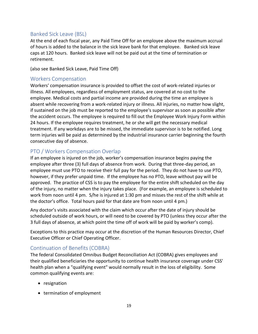## <span id="page-19-0"></span>Banked Sick Leave (BSL)

At the end of each fiscal year, any Paid Time Off for an employee above the maximum accrual of hours is added to the balance in the sick leave bank for that employee. Banked sick leave caps at 120 hours. Banked sick leave will not be paid out at the time of termination or retirement.

(also see Banked Sick Leave, Paid Time Off)

## <span id="page-19-1"></span>Workers Compensation

Workers' compensation insurance is provided to offset the cost of work-related injuries or illness. All employees, regardless of employment status, are covered at no cost to the employee. Medical costs and partial income are provided during the time an employee is absent while recovering from a work-related injury or illness. All injuries, no matter how slight, if sustained on the job must be reported to the employee's supervisor as soon as possible after the accident occurs. The employee is required to fill out the Employee Work Injury Form within 24 hours. If the employee requires treatment, he or she will get the necessary medical treatment. If any workdays are to be missed, the immediate supervisor is to be notified. Long term injuries will be paid as determined by the industrial insurance carrier beginning the fourth consecutive day of absence.

## <span id="page-19-2"></span>PTO / Workers Compensation Overlap

If an employee is injured on the job, worker's compensation insurance begins paying the employee after three (3) full days of absence from work. During that three-day period, an employee must use PTO to receive their full pay for the period. They do not have to use PTO, however, if they prefer unpaid time. If the employee has no PTO, leave without pay will be approved. The practice of CSS is to pay the employee for the entire shift scheduled on the day of the injury, no matter when the injury takes place. (For example, an employee is scheduled to work from noon until 4 pm. S/he is injured at 1:30 pm and misses the rest of the shift while at the doctor's office. Total hours paid for that date are from noon until 4 pm.)

Any doctor's visits associated with the claim which occur after the date of injury should be scheduled outside of work hours, or will need to be covered by PTO (unless they occur after the 3 full days of absence, at which point the time off of work will be paid by worker's comp).

Exceptions to this practice may occur at the discretion of the Human Resources Director, Chief Executive Officer or Chief Operating Officer.

## <span id="page-19-3"></span>Continuation of Benefits (COBRA)

The federal Consolidated Omnibus Budget Reconciliation Act (COBRA) gives employees and their qualified beneficiaries the opportunity to continue health insurance coverage under CSS' health plan when a "qualifying event" would normally result in the loss of eligibility. Some common qualifying events are:

- resignation
- termination of employment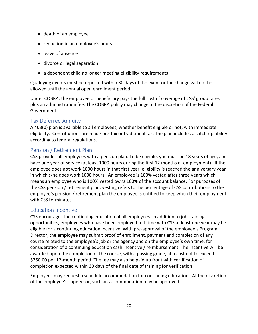- death of an employee
- reduction in an employee's hours
- leave of absence
- divorce or legal separation
- a dependent child no longer meeting eligibility requirements

Qualifying events must be reported within 30 days of the event or the change will not be allowed until the annual open enrollment period.

Under COBRA, the employee or beneficiary pays the full cost of coverage of CSS' group rates plus an administration fee. The COBRA policy may change at the discretion of the Federal Government.

## <span id="page-20-0"></span>Tax Deferred Annuity

A 403(b) plan is available to all employees, whether benefit eligible or not, with immediate eligibility. Contributions are made pre-tax or traditional tax. The plan includes a catch-up ability according to federal regulations.

## <span id="page-20-1"></span>Pension / Retirement Plan

CSS provides all employees with a pension plan. To be eligible, you must be 18 years of age, and have one year of service (at least 1000 hours during the first 12 months of employment). If the employee does not work 1000 hours in that first year, eligibility is reached the anniversary year in which s/he does work 1000 hours. An employee is 100% vested after three years which means an employee who is 100% vested owns 100% of the account balance. For purposes of the CSS pension / retirement plan, vesting refers to the percentage of CSS contributions to the employee's pension / retirement plan the employee is entitled to keep when their employment with CSS terminates.

## <span id="page-20-2"></span>Education Incentive

CSS encourages the continuing education of all employees. In addition to job training opportunities, employees who have been employed full-time with CSS at least one year may be eligible for a continuing education incentive. With pre-approval of the employee's Program Director, the employee may submit proof of enrollment, payment and completion of any course related to the employee's job or the agency and on the employee's own time, for consideration of a continuing education cash incentive / reimbursement. The incentive will be awarded upon the completion of the course, with a passing grade, at a cost not to exceed \$750.00 per 12-month period. The fee may also be paid up front with certification of completion expected within 30 days of the final date of training for verification.

Employees may request a schedule accommodation for continuing education. At the discretion of the employee's supervisor, such an accommodation may be approved.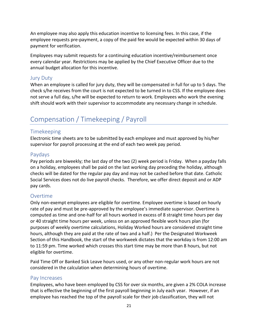An employee may also apply this education incentive to licensing fees. In this case, if the employee requests pre-payment, a copy of the paid fee would be expected within 30 days of payment for verification.

Employees may submit requests for a continuing education incentive/reimbursement once every calendar year. Restrictions may be applied by the Chief Executive Officer due to the annual budget allocation for this incentive.

#### <span id="page-21-0"></span>Jury Duty

When an employee is called for jury duty, they will be compensated in full for up to 5 days. The check s/he receives from the court is not expected to be turned in to CSS. If the employee does not serve a full day, s/he will be expected to return to work. Employees who work the evening shift should work with their supervisor to accommodate any necessary change in schedule.

## <span id="page-21-1"></span>Compensation / Timekeeping / Payroll

#### <span id="page-21-2"></span>Timekeeping

Electronic time sheets are to be submitted by each employee and must approved by his/her supervisor for payroll processing at the end of each two week pay period.

### <span id="page-21-3"></span>Paydays

Pay periods are biweekly; the last day of the two (2) week period is Friday. When a payday falls on a holiday, employees shall be paid on the last working day preceding the holiday, although checks will be dated for the regular pay day and may not be cashed before that date. Catholic Social Services does not do live payroll checks. Therefore, we offer direct deposit and or ADP pay cards.

#### <span id="page-21-4"></span>Overtime

Only non-exempt employees are eligible for overtime. Employee overtime is based on hourly rate of pay and must be pre-approved by the employee's immediate supervisor. Overtime is computed as time and one-half for all hours worked in excess of 8 straight time hours per day or 40 straight time hours per week, unless on an approved flexible work hours plan (for purposes of weekly overtime calculations, Holiday Worked hours are considered straight time hours, although they are paid at the rate of two and a half.) Per the Designated Workweek Section of this Handbook, the start of the workweek dictates that the workday is from 12:00 am to 11:59 pm. Time worked which crosses this start time may be more than 8 hours, but not eligible for overtime.

Paid Time Off or Banked Sick Leave hours used, or any other non-regular work hours are not considered in the calculation when determining hours of overtime.

#### <span id="page-21-5"></span>Pay Increases

Employees, who have been employed by CSS for over six months, are given a 2% COLA increase that is effective the beginning of the first payroll beginning in July each year. However, if an employee has reached the top of the payroll scale for their job classification, they will not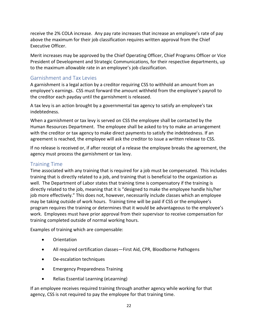receive the 2% COLA increase. Any pay rate increases that increase an employee's rate of pay above the maximum for their job classification requires written approval from the Chief Executive Officer.

Merit increases may be approved by the Chief Operating Officer, Chief Programs Officer or Vice President of Development and Strategic Communications, for their respective departments, up to the maximum allowable rate in an employee's job classification.

## <span id="page-22-0"></span>Garnishment and Tax Levies

A garnishment is a legal action by a creditor requiring CSS to withhold an amount from an employee's earnings. CSS must forward the amount withheld from the employee's payroll to the creditor each payday until the garnishment is released.

A tax levy is an action brought by a governmental tax agency to satisfy an employee's tax indebtedness.

When a garnishment or tax levy is served on CSS the employee shall be contacted by the Human Resources Department. The employee shall be asked to try to make an arrangement with the creditor or tax agency to make direct payments to satisfy the indebtedness. If an agreement is reached, the employee will ask the creditor to issue a written release to CSS.

If no release is received or, if after receipt of a release the employee breaks the agreement, the agency must process the garnishment or tax levy.

## <span id="page-22-1"></span>Training Time

Time associated with any training that is required for a job must be compensated. This includes training that is directly related to a job, and training that is beneficial to the organization as well. The Department of Labor states that training time is compensatory if the training is directly related to the job, meaning that it is "designed to make the employee handle his/her job more effectively." This does not, however, necessarily include classes which an employee may be taking outside of work hours. Training time will be paid if CSS or the employee's program requires the training or determines that it would be advantageous to the employee's work. Employees must have prior approval from their supervisor to receive compensation for training completed outside of normal working hours.

Examples of training which are compensable:

- Orientation
- All required certification classes—First Aid, CPR, Bloodborne Pathogens
- De-escalation techniques
- Emergency Preparedness Training
- Relias Essential Learning (eLearning)

If an employee receives required training through another agency while working for that agency, CSS is not required to pay the employee for that training time.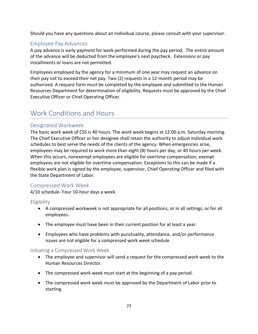Should you have any questions about an individual course, please consult with your supervisor.

## <span id="page-23-0"></span>Employee Pay Advances

A pay advance is early payment for work performed during the pay period. The entire amount of the advance will be deducted from the employee's next paycheck. Extensions or pay installments or loans are not permitted.

Employees employed by the agency for a minimum of one year may request an advance on their pay not to exceed their net pay. Two (2) requests in a 12-month period may be authorized. A request form must be completed by the employee and submitted to the Human Resources Department for determination of eligibility. Requests must be approved by the Chief Executive Officer or Chief Operating Officer.

## <span id="page-23-1"></span>Work Conditions and Hours

## <span id="page-23-2"></span>Designated Workweek

The basic work week of CSS is 40 hours. The work week begins at 12:00 a.m. Saturday morning. The Chief Executive Officer or her designee shall retain the authority to adjust individual work schedules to best serve the needs of the clients of the agency. When emergencies arise, employees may be required to work more than eight (8) hours per day, or 40 hours per week. When this occurs, nonexempt employees are eligible for overtime compensation; exempt employees are not eligible for overtime compensation. Exceptions to this can be made if a flexible work plan is signed by the employee, supervisor, Chief Operating Officer and filed with the State Department of Labor.

## <span id="page-23-3"></span>Compressed Work Week

4/10 schedule- Four 10-hour days a week

<span id="page-23-4"></span>**Eligibility** 

- A compressed workweek is not appropriate for all positions, or in all settings, or for all employees.
- The employee must have been in their current position for at least a year.
- Employees who have problems with punctuality, attendance, and/or performance issues are not eligible for a compressed work week schedule.

#### <span id="page-23-5"></span>Initiating a Compressed Work Week

- The employee and supervisor will send a request for the compressed work week to the Human Resources Director.
- The compressed work week must start at the beginning of a pay period.
- The compressed work week must be approved by the Department of Labor prior to starting.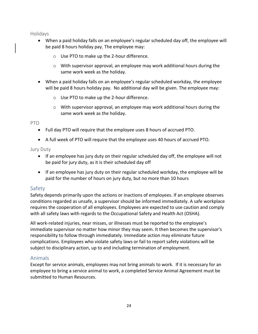<span id="page-24-0"></span>Holidays

- When a paid holiday falls on an employee's regular scheduled day off, the employee will be paid 8 hours holiday pay. The employee may:
	- o Use PTO to make up the 2-hour difference.
	- $\circ$  With supervisor approval, an employee may work additional hours during the same work week as the holiday.
- When a paid holiday falls on an employee's regular scheduled workday, the employee will be paid 8 hours holiday pay. No additional day will be given. The employee may:
	- o Use PTO to make up the 2-hour difference.
	- $\circ$  With supervisor approval, an employee may work additional hours during the same work week as the holiday.

<span id="page-24-1"></span>PTO

- Full day PTO will require that the employee uses 8 hours of accrued PTO.
- A full week of PTO will require that the employee uses 40 hours of accrued PTO.

### <span id="page-24-2"></span>Jury Duty

- If an employee has jury duty on their regular scheduled day off, the employee will not be paid for jury duty, as it is their scheduled day off
- If an employee has jury duty on their regular scheduled workday, the employee will be paid for the number of hours on jury duty, but no more than 10 hours

## <span id="page-24-3"></span>Safety

Safety depends primarily upon the actions or inactions of employees. If an employee observes conditions regarded as unsafe, a supervisor should be informed immediately. A safe workplace requires the cooperation of all employees. Employees are expected to use caution and comply with all safety laws with regards to the Occupational Safety and Health Act (OSHA).

All work-related injuries, near misses, or illnesses must be reported to the employee's immediate supervisor no matter how minor they may seem. It then becomes the supervisor's responsibility to follow through immediately. Immediate action may eliminate future complications. Employees who violate safety laws or fail to report safety violations will be subject to disciplinary action, up to and including termination of employment.

## <span id="page-24-4"></span>Animals

Except for service animals, employees may not bring animals to work. If it is necessary for an employee to bring a service animal to work, a completed Service Animal Agreement must be submitted to Human Resources.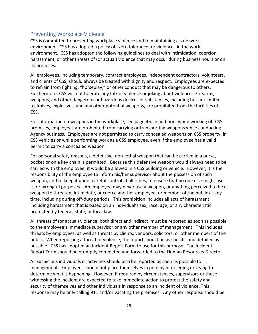## <span id="page-25-0"></span>Preventing Workplace Violence

CSS is committed to preventing workplace violence and to maintaining a safe work environment. CSS has adopted a policy of "zero tolerance for violence" in the work environment. CSS has adopted the following guidelines to deal with intimidation, coercion, harassment, or other threats of (or actual) violence that may occur during business hours or on its premises.

All employees, including temporary, contract employees, independent contractors, volunteers, and clients of CSS, should always be treated with dignity and respect. Employees are expected to refrain from fighting, "horseplay," or other conduct that may be dangerous to others. Furthermore, CSS will not tolerate any talk of violence or joking about violence. Firearms, weapons, and other dangerous or hazardous devices or substances, including but not limited to, knives, explosives, and any other potential weapons, are prohibited from the facilities of CSS.

For information on weapons in the workplace, see page 46. In addition, when working off CSS premises, employees are prohibited from carrying or transporting weapons while conducting Agency business. Employees are not permitted to carry concealed weapons on CSS property, in CSS vehicles or while performing work as a CSS employee, even if the employee has a valid permit to carry a concealed weapon.

For personal safety reasons, a defensive, non-lethal weapon that can be carried in a purse, pocket or on a key chain is permitted. Because this defensive weapon would always need to be carried with the employee, it would be allowed in a CSS building or vehicle. However, it is the responsibility of the employee to inform his/her supervisor about the possession of such weapon, and to keep it under careful control at all times, to ensure that no one else might use it for wrongful purposes. An employee may never use a weapon, or anything perceived to be a weapon to threaten, intimidate, or coerce another employee, or member of the public at any time, including during off-duty periods. This prohibition includes all acts of harassment, including harassment that is based on an individual's sex, race, age, or any characteristic protected by federal, state, or local law.

All threats of (or actual) violence, both direct and indirect, must be reported as soon as possible to the employee's immediate supervisor or any other member of management. This includes threats by employees, as well as threats by clients, vendors, solicitors, or other members of the public. When reporting a threat of violence, the report should be as specific and detailed as possible. CSS has adopted an Incident Report Form to use for this purpose. The Incident Report Form should be promptly completed and forwarded to the Human Resources Director.

All suspicious individuals or activities should also be reported as soon as possible to management. Employees should not place themselves in peril by interceding or trying to determine what is happening. However, if required by circumstances, supervisors or those witnessing the incident are expected to take immediate action to protect the safety and security of themselves and other individuals in response to an incident of violence. This response may be only calling 911 and/or vacating the premises. Any other response should be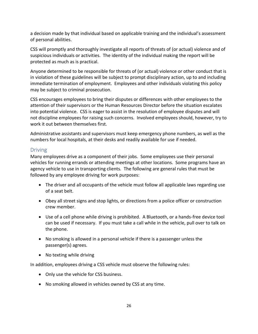a decision made by that individual based on applicable training and the individual's assessment of personal abilities.

CSS will promptly and thoroughly investigate all reports of threats of (or actual) violence and of suspicious individuals or activities. The identity of the individual making the report will be protected as much as is practical.

Anyone determined to be responsible for threats of (or actual) violence or other conduct that is in violation of these guidelines will be subject to prompt disciplinary action, up to and including immediate termination of employment. Employees and other individuals violating this policy may be subject to criminal prosecution.

CSS encourages employees to bring their disputes or differences with other employees to the attention of their supervisors or the Human Resources Director before the situation escalates into potential violence. CSS is eager to assist in the resolution of employee disputes and will not discipline employees for raising such concerns. Involved employees should, however, try to work it out between themselves first.

Administrative assistants and supervisors must keep emergency phone numbers, as well as the numbers for local hospitals, at their desks and readily available for use if needed.

## <span id="page-26-0"></span>**Driving**

Many employees drive as a component of their jobs. Some employees use their personal vehicles for running errands or attending meetings at other locations. Some programs have an agency vehicle to use in transporting clients. The following are general rules that must be followed by any employee driving for work purposes:

- The driver and all occupants of the vehicle must follow all applicable laws regarding use of a seat belt.
- Obey all street signs and stop lights, or directions from a police officer or construction crew member.
- Use of a cell phone while driving is prohibited. A Bluetooth, or a hands-free device tool can be used if necessary. If you must take a call while in the vehicle, pull over to talk on the phone.
- No smoking is allowed in a personal vehicle if there is a passenger unless the passenger(s) agrees.
- No texting while driving

In addition, employees driving a CSS vehicle must observe the following rules:

- Only use the vehicle for CSS business.
- No smoking allowed in vehicles owned by CSS at any time.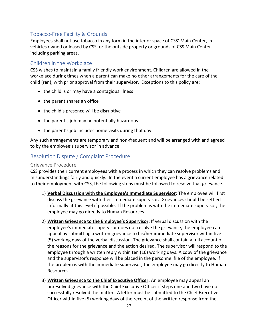## <span id="page-27-0"></span>Tobacco-Free Facility & Grounds

Employees shall not use tobacco in any form in the interior space of CSS' Main Center, in vehicles owned or leased by CSS, or the outside property or grounds of CSS Main Center including parking areas.

### <span id="page-27-1"></span>Children in the Workplace

CSS wishes to maintain a family friendly work environment. Children are allowed in the workplace during times when a parent can make no other arrangements for the care of the child (ren), with prior approval from their supervisor. Exceptions to this policy are:

- the child is or may have a contagious illness
- the parent shares an office
- the child's presence will be disruptive
- the parent's job may be potentially hazardous
- the parent's job includes home visits during that day

Any such arrangements are temporary and non-frequent and will be arranged with and agreed to by the employee's supervisor in advance.

## <span id="page-27-2"></span>Resolution Dispute / Complaint Procedure

#### <span id="page-27-3"></span>Grievance Procedure

CSS provides their current employees with a process in which they can resolve problems and misunderstandings fairly and quickly. In the event a current employee has a grievance related to their employment with CSS, the following steps must be followed to resolve that grievance.

- 1) **Verbal Discussion with the Employee's Immediate Supervisor:** The employee will first discuss the grievance with their immediate supervisor. Grievances should be settled informally at this level if possible. If the problem is with the immediate supervisor, the employee may go directly to Human Resources.
- 2) **Written Grievance to the Employee's Supervisor:** If verbal discussion with the employee's immediate supervisor does not resolve the grievance, the employee can appeal by submitting a written grievance to his/her immediate supervisor within five (5) working days of the verbal discussion. The grievance shall contain a full account of the reasons for the grievance and the action desired. The supervisor will respond to the employee through a written reply within ten (10) working days. A copy of the grievance and the supervisor's response will be placed in the personnel file of the employee. If the problem is with the immediate supervisor, the employee may go directly to Human Resources.
- 3) **Written Grievance to the Chief Executive Officer:** An employee may appeal an unresolved grievance with the Chief Executive Officer if steps one and two have not successfully resolved the matter. A letter must be submitted to the Chief Executive Officer within five (5) working days of the receipt of the written response from the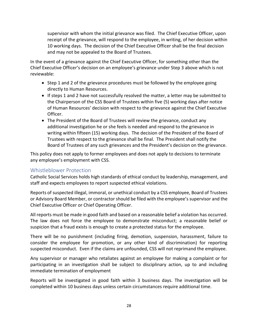supervisor with whom the initial grievance was filed. The Chief Executive Officer, upon receipt of the grievance, will respond to the employee, in writing, of her decision within 10 working days. The decision of the Chief Executive Officer shall be the final decision and may not be appealed to the Board of Trustees.

In the event of a grievance against the Chief Executive Officer, for something other than the Chief Executive Officer's decision on an employee's grievance under Step 3 above which is not reviewable:

- Step 1 and 2 of the grievance procedures must be followed by the employee going directly to Human Resources.
- If steps 1 and 2 have not successfully resolved the matter, a letter may be submitted to the Chairperson of the CSS Board of Trustees within five (5) working days after notice of Human Resources' decision with respect to the grievance against the Chief Executive Officer.
- The President of the Board of Trustees will review the grievance, conduct any additional investigation he or she feels is needed and respond to the grievance in writing within fifteen (15) working days. The decision of the President of the Board of Trustees with respect to the grievance shall be final. The President shall notify the Board of Trustees of any such grievances and the President's decision on the grievance.

This policy does not apply to former employees and does not apply to decisions to terminate any employee's employment with CSS.

## <span id="page-28-0"></span>Whistleblower Protection

Catholic Social Services holds high standards of ethical conduct by leadership, management, and staff and expects employees to report suspected ethical violations.

Reports of suspected illegal, immoral, or unethical conduct by a CSS employee, Board of Trustees or Advisory Board Member, or contractor should be filed with the employee's supervisor and the Chief Executive Officer or Chief Operating Officer.

All reports must be made in good faith and based on a reasonable belief a violation has occurred. The law does not force the employee to demonstrate misconduct; a reasonable belief or suspicion that a fraud exists is enough to create a protected status for the employee.

There will be no punishment (including firing, demotion, suspension, harassment, failure to consider the employee for promotion, or any other kind of discrimination) for reporting suspected misconduct. Even if the claims are unfounded, CSS will not reprimand the employee.

Any supervisor or manager who retaliates against an employee for making a complaint or for participating in an investigation shall be subject to disciplinary action, up to and including immediate termination of employment

Reports will be investigated in good faith within 3 business days. The investigation will be completed within 10 business days unless certain circumstances require additional time.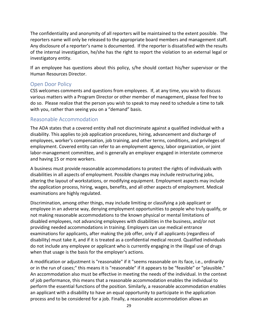The confidentiality and anonymity of all reporters will be maintained to the extent possible. The reporters name will only be released to the appropriate board members and management staff. Any disclosure of a reporter's name is documented. If the reporter is dissatisfied with the results of the internal investigation, he/she has the right to report the violation to an external legal or investigatory entity.

If an employee has questions about this policy, s/he should contact his/her supervisor or the Human Resources Director.

#### <span id="page-29-0"></span>Open Door Policy

CSS welcomes comments and questions from employees. If, at any time, you wish to discuss various matters with a Program Director or other member of management, please feel free to do so. Please realize that the person you wish to speak to may need to schedule a time to talk with you, rather than seeing you on a "demand" basis.

#### <span id="page-29-1"></span>Reasonable Accommodation

The ADA states that a covered entity shall not discriminate against a qualified individual with a disability. This applies to job application procedures, hiring, advancement and discharge of employees, worker's compensation, job training, and other terms, conditions, and privileges of employment. Covered entity can refer to an employment agency, labor organization, or joint labor-management committee, and is generally an employer engaged in interstate commerce and having 15 or more workers.

A business must provide reasonable accommodations to protect the rights of individuals with disabilities in all aspects of employment. Possible changes may include restructuring jobs, altering the layout of workstations, or modifying equipment. Employment aspects may include the application process, hiring, wages, benefits, and all other aspects of employment. Medical examinations are highly regulated.

Discrimination, among other things, may include limiting or classifying a job applicant or employee in an adverse way, denying employment opportunities to people who truly qualify, or not making reasonable accommodations to the known physical or mental limitations of disabled employees, not advancing employees with disabilities in the business, and/or not providing needed accommodations in training. Employers can use medical entrance examinations for applicants, after making the job offer, only if all applicants (regardless of disability) must take it, and if it is treated as a confidential medical record. Qualified individuals do not include any employee or applicant who is currently engaging in the illegal use of drugs when that usage is the basis for the employer's actions.

A modification or adjustment is "reasonable" if it "seems reasonable on its face, i.e., ordinarily or in the run of cases;" this means it is "reasonable" if it appears to be "feasible" or "plausible." An accommodation also must be effective in meeting the needs of the individual. In the context of job performance, this means that a reasonable accommodation enables the individual to perform the essential functions of the position. Similarly, a reasonable accommodation enables an applicant with a disability to have an equal opportunity to participate in the application process and to be considered for a job. Finally, a reasonable accommodation allows an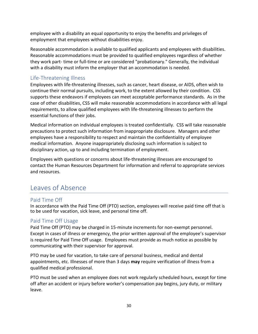employee with a disability an equal opportunity to enjoy the benefits and privileges of employment that employees without disabilities enjoy.

Reasonable accommodation is available to qualified applicants and employees with disabilities. Reasonable accommodations must be provided to qualified employees regardless of whether they work part- time or full-time or are considered "probationary." Generally, the individual with a disability must inform the employer that an accommodation is needed.

## <span id="page-30-0"></span>Life-Threatening Illness

Employees with life-threatening illnesses, such as cancer, heart disease, or AIDS, often wish to continue their normal pursuits, including work, to the extent allowed by their condition. CSS supports these endeavors if employees can meet acceptable performance standards. As in the case of other disabilities, CSS will make reasonable accommodations in accordance with all legal requirements, to allow qualified employees with life-threatening illnesses to perform the essential functions of their jobs.

Medical information on individual employees is treated confidentially. CSS will take reasonable precautions to protect such information from inappropriate disclosure. Managers and other employees have a responsibility to respect and maintain the confidentiality of employee medical information. Anyone inappropriately disclosing such information is subject to disciplinary action, up to and including termination of employment.

Employees with questions or concerns about life-threatening illnesses are encouraged to contact the Human Resources Department for information and referral to appropriate services and resources.

## <span id="page-30-1"></span>Leaves of Absence

## <span id="page-30-2"></span>Paid Time Off

In accordance with the Paid Time Off (PTO) section, employees will receive paid time off that is to be used for vacation, sick leave, and personal time off.

## <span id="page-30-3"></span>Paid Time Off Usage

Paid Time Off (PTO) may be charged in 15-minute increments for non-exempt personnel. Except in cases of illness or emergency, the prior written approval of the employee's supervisor is required for Paid Time Off usage. Employees must provide as much notice as possible by communicating with their supervisor for approval.

PTO may be used for vacation, to take care of personal business, medical and dental appointments, etc. Illnesses of more than 3 days **may** require verification of illness from a qualified medical professional.

PTO must be used when an employee does not work regularly scheduled hours, except for time off after an accident or injury before worker's compensation pay begins, jury duty, or military leave.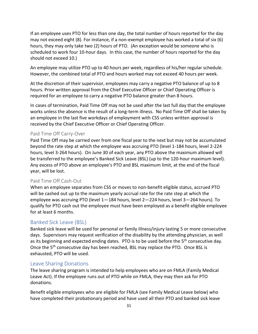If an employee uses PTO for less than one day, the total number of hours reported for the day may not exceed eight (8). For instance, if a non-exempt employee has worked a total of six (6) hours, they may only take two (2) hours of PTO. (An exception would be someone who is scheduled to work four 10-hour days. In this case, the number of hours reported for the day should not exceed 10.)

An employee may utilize PTO up to 40 hours per week, regardless of his/her regular schedule. However, the combined total of PTO and hours worked may not exceed 40 hours per week.

At the discretion of their supervisor, employees may carry a negative PTO balance of up to 8 hours. Prior written approval from the Chief Executive Officer or Chief Operating Officer is required for an employee to carry a negative PTO balance greater than 8 hours.

In cases of termination, Paid Time Off may not be used after the last full day that the employee works unless the absence is the result of a long-term illness. No Paid Time Off shall be taken by an employee in the last five workdays of employment with CSS unless written approval is received by the Chief Executive Officer or Chief Operating Officer.

#### <span id="page-31-0"></span>Paid Time Off Carry-Over

Paid Time Off may be carried over from one fiscal year to the next but may not be accumulated beyond the rate step at which the employee was accruing PTO (level 1-184 hours, level 2-224 hours, level 3-264 hours). On June 30 of each year, any PTO above the maximum allowed will be transferred to the employee's Banked Sick Leave (BSL) (up to the 120-hour maximum level). Any excess of PTO above an employee's PTO and BSL maximum limit, at the end of the fiscal year, will be lost.

#### <span id="page-31-1"></span>Paid Time Off Cash-Out

When an employee separates from CSS or moves to non-benefit eligible status, accrued PTO will be cashed out up to the maximum yearly accrual rate for the rate step at which the employee was accruing PTO (level 1—184 hours, level 2—224 hours, level 3—264 hours). To qualify for PTO cash out the employee must have been employed as a benefit eligible employee for at least 6 months.

## <span id="page-31-2"></span>Banked Sick Leave (BSL)

Banked sick leave will be used for personal or family illness/injury lasting 5 or more consecutive days. Supervisors may request verification of the disability by the attending physician, as well as its beginning and expected ending dates. PTO is to be used before the 5<sup>th</sup> consecutive day. Once the 5<sup>th</sup> consecutive day has been reached, BSL may replace the PTO. Once BSL is exhausted, PTO will be used.

#### <span id="page-31-3"></span>Leave Sharing Donations

The leave sharing program is intended to help employees who are on FMLA (Family Medical Leave Act). If the employee runs out of PTO while on FMLA, they may then ask for PTO donations.

Benefit eligible employees who are eligible for FMLA (see Family Medical Leave below) who have completed their probationary period and have used all their PTO and banked sick leave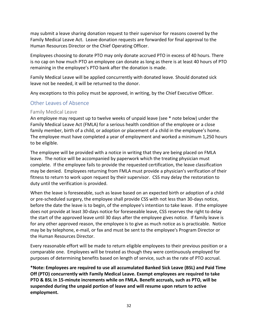may submit a leave sharing donation request to their supervisor for reasons covered by the Family Medical Leave Act. Leave donation requests are forwarded for final approval to the Human Resources Director or the Chief Operating Officer.

Employees choosing to donate PTO may only donate accrued PTO in excess of 40 hours. There is no cap on how much PTO an employee can donate as long as there is at least 40 hours of PTO remaining in the employee's PTO bank after the donation is made.

Family Medical Leave will be applied concurrently with donated leave. Should donated sick leave not be needed, it will be returned to the donor.

Any exceptions to this policy must be approved, in writing, by the Chief Executive Officer.

#### <span id="page-32-0"></span>Other Leaves of Absence

#### <span id="page-32-1"></span>Family Medical Leave

An employee may request up to twelve weeks of unpaid leave (see \* note below) under the Family Medical Leave Act (FMLA) for a serious health condition of the employee or a close family member, birth of a child, or adoption or placement of a child in the employee's home. The employee must have completed a year of employment and worked a minimum 1,250 hours to be eligible.

The employee will be provided with a notice in writing that they are being placed on FMLA leave. The notice will be accompanied by paperwork which the treating physician must complete. If the employee fails to provide the requested certification, the leave classification may be denied. Employees returning from FMLA must provide a physician's verification of their fitness to return to work upon request by their supervisor. CSS may delay the restoration to duty until the verification is provided.

When the leave is foreseeable, such as leave based on an expected birth or adoption of a child or pre-scheduled surgery, the employee shall provide CSS with not less than 30-days notice, before the date the leave is to begin, of the employee's intention to take leave. If the employee does not provide at least 30-days notice for foreseeable leave, CSS reserves the right to delay the start of the approved leave until 30 days after the employee gives notice. If family leave is for any other approved reason, the employee is to give as much notice as is practicable. Notice may be by telephone, e-mail, or fax and must be sent to the employee's Program Director or the Human Resources Director.

Every reasonable effort will be made to return eligible employees to their previous position or a comparable one. Employees will be treated as though they were continuously employed for purposes of determining benefits based on length of service, such as the rate of PTO accrual.

**\*Note: Employees are required to use all accumulated Banked Sick Leave (BSL) and Paid Time Off (PTO) concurrently with Family Medical Leave. Exempt employees are required to take PTO & BSL in 15-minute increments while on FMLA. Benefit accruals, such as PTO, will be suspended during the unpaid portion of leave and will resume upon return to active employment.**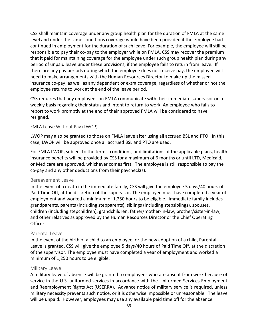CSS shall maintain coverage under any group health plan for the duration of FMLA at the same level and under the same conditions coverage would have been provided if the employee had continued in employment for the duration of such leave. For example, the employee will still be responsible to pay their co-pay to the employer while on FMLA. CSS may recover the premium that it paid for maintaining coverage for the employee under such group health plan during any period of unpaid leave under these provisions, if the employee fails to return from leave. If there are any pay periods during which the employee does not receive pay, the employee will need to make arrangements with the Human Resources Director to make up the missed insurance co-pay, as well as any dependent or extra coverage, regardless of whether or not the employee returns to work at the end of the leave period.

CSS requires that any employees on FMLA communicate with their immediate supervisor on a weekly basis regarding their status and intent to return to work. An employee who fails to report to work promptly at the end of their approved FMLA will be considered to have resigned.

#### FMLA Leave Without Pay (LWOP)

LWOP may also be granted to those on FMLA leave after using all accrued BSL and PTO. In this case, LWOP will be approved once all accrued BSL and PTO are used.

For FMLA LWOP, subject to the terms, conditions, and limitations of the applicable plans, health insurance benefits will be provided by CSS for a maximum of 6 months or until LTD, Medicaid, or Medicare are approved, whichever comes first. The employee is still responsible to pay the co-pay and any other deductions from their paycheck(s).

#### <span id="page-33-0"></span>Bereavement Leave

In the event of a death in the immediate family, CSS will give the employee 5 days/40 hours of Paid Time Off, at the discretion of the supervisor. The employee must have completed a year of employment and worked a minimum of 1,250 hours to be eligible. Immediate family includes grandparents, parents (including stepparents), siblings (including stepsiblings), spouses, children (including stepchildren), grandchildren, father/mother-in-law, brother/sister-in-law, and other relatives as approved by the Human Resources Director or the Chief Operating Officer.

#### <span id="page-33-1"></span>Parental Leave

In the event of the birth of a child to an employee, or the new adoption of a child, Parental Leave is granted. CSS will give the employee 5 days/40 hours of Paid Time Off, at the discretion of the supervisor. The employee must have completed a year of employment and worked a minimum of 1,250 hours to be eligible.

#### <span id="page-33-2"></span>Military Leave:

A military leave of absence will be granted to employees who are absent from work because of service in the U.S. uniformed services in accordance with the Uniformed Services Employment and Reemployment Rights Act (USERRA). Advance notice of military service is required, unless military necessity prevents such notice, or it is otherwise impossible or unreasonable. The leave will be unpaid. However, employees may use any available paid time off for the absence.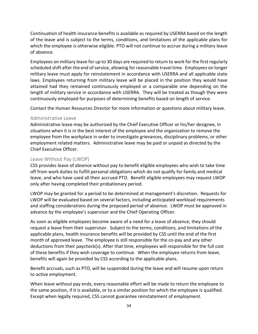Continuation of health insurance benefits is available as required by USERRA based on the length of the leave and is subject to the terms, conditions, and limitations of the applicable plans for which the employee is otherwise eligible. PTO will not continue to accrue during a military leave of absence.

Employees on military leave for up to 30 days are required to return to work for the first regularly scheduled shift after the end of service, allowing for reasonable travel time. Employees on longer military leave must apply for reinstatement in accordance with USERRA and all applicable state laws. Employees returning from military leave will be placed in the position they would have attained had they remained continuously employed or a comparable one depending on the length of military service in accordance with USERRA. They will be treated as though they were continuously employed for purposes of determining benefits based on length of service.

Contact the Human Resources Director for more information or questions about military leave.

#### <span id="page-34-0"></span>Administrative Leave

Administrative leave may be authorized by the Chief Executive Officer or his/her designee, in situations when it is in the best interest of the employee and the organization to remove the employee from the workplace in order to investigate grievances, disciplinary problems, or other employment related matters. Administrative leave may be paid or unpaid as directed by the Chief Executive Officer.

#### <span id="page-34-1"></span>Leave Without Pay (LWOP)

CSS provides leave of absence without pay to benefit eligible employees who wish to take time off from work duties to fulfill personal obligations which do not qualify for family and medical leave, and who have used all their accrued PTO. Benefit eligible employees may request LWOP only after having completed their probationary period.

LWOP may be granted for a period to be determined at management's discretion. Requests for LWOP will be evaluated based on several factors, including anticipated workload requirements and staffing considerations during the proposed period of absence. LWOP must be approved in advance by the employee's supervisor and the Chief Operating Officer.

As soon as eligible employees become aware of a need for a leave of absence, they should request a leave from their supervisor. Subject to the terms, conditions, and limitations of the applicable plans, health insurance benefits will be provided by CSS until the end of the first month of approved leave. The employee is still responsible for the co-pay and any other deductions from their paycheck(s). After that time, employees will responsible for the full cost of these benefits if they wish coverage to continue. When the employee returns from leave, benefits will again be provided by CSS according to the applicable plans.

Benefit accruals, such as PTO, will be suspended during the leave and will resume upon return to active employment.

When leave without pay ends, every reasonable effort will be made to return the employee to the same position, if it is available, or to a similar position for which the employee is qualified. Except when legally required, CSS cannot guarantee reinstatement of employment.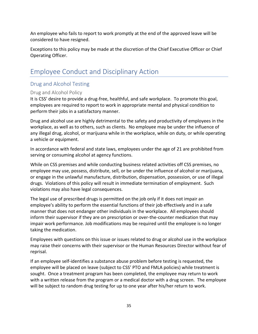An employee who fails to report to work promptly at the end of the approved leave will be considered to have resigned.

Exceptions to this policy may be made at the discretion of the Chief Executive Officer or Chief Operating Officer.

## <span id="page-35-0"></span>Employee Conduct and Disciplinary Action

## <span id="page-35-1"></span>Drug and Alcohol Testing

#### <span id="page-35-2"></span>Drug and Alcohol Policy

It is CSS' desire to provide a drug-free, healthful, and safe workplace. To promote this goal, employees are required to report to work in appropriate mental and physical condition to perform their jobs in a satisfactory manner.

Drug and alcohol use are highly detrimental to the safety and productivity of employees in the workplace, as well as to others, such as clients. No employee may be under the influence of any illegal drug, alcohol, or marijuana while in the workplace, while on duty, or while operating a vehicle or equipment.

In accordance with federal and state laws, employees under the age of 21 are prohibited from serving or consuming alcohol at agency functions.

While on CSS premises and while conducting business related activities off CSS premises, no employee may use, possess, distribute, sell, or be under the influence of alcohol or marijuana, or engage in the unlawful manufacture, distribution, dispensation, possession, or use of illegal drugs. Violations of this policy will result in immediate termination of employment. Such violations may also have legal consequences.

The legal use of prescribed drugs is permitted on the job only if it does not impair an employee's ability to perform the essential functions of their job effectively and in a safe manner that does not endanger other individuals in the workplace. All employees should inform their supervisor if they are on prescription or over-the-counter medication that may impair work performance. Job modifications may be required until the employee is no longer taking the medication.

Employees with questions on this issue or issues related to drug or alcohol use in the workplace may raise their concerns with their supervisor or the Human Resources Director without fear of reprisal.

If an employee self-identifies a substance abuse problem before testing is requested, the employee will be placed on leave (subject to CSS' PTO and FMLA policies) while treatment is sought. Once a treatment program has been completed, the employee may return to work with a written release from the program or a medical doctor with a drug screen. The employee will be subject to random drug testing for up to one year after his/her return to work.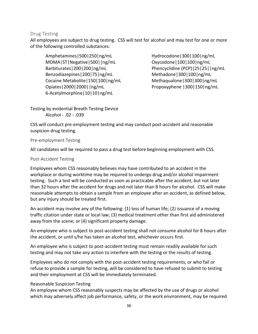#### <span id="page-36-0"></span>Drug Testing

All employees are subject to drug testing. CSS will test for alcohol and may test for one or more of the following controlled substances:

Amphetamines|500|250|ng/mL MDMA|ST|Negative|500||ng/mL Barbiturates|200|200|ng/mL Benzodiazepines|200|75|ng/mL Cocaine Metabolite|150|100|ng/mL Opiates|2000|2000||ng/mL 6-Acetylmorphine|10|10|ng/mL

Hydrocodone|300|100|ng/mL Oxycodone|100|100|ng/mL Phencyclidine (PCP)|25|25||ng/mL Methadone|300|100|ng/mL Methaqualone|300|300|ng/mL Propoxyphene |300|150|ng/mL

Testing by evidential Breath Testing Device Alcohol - .02 - .039

CSS will conduct pre-employment testing and may conduct post-accident and reasonable suspicion drug testing.

#### Pre-employment Testing

All candidates will be required to pass a drug test before beginning employment with CSS.

#### Post-Accident Testing

Employees whom CSS reasonably believes may have contributed to an accident in the workplace or during worktime may be required to undergo drug and/or alcohol impairment testing. Such a test will be conducted as soon as practicable after the accident, but not later than 32 hours after the accident for drugs and not later than 8 hours for alcohol. CSS will make reasonable attempts to obtain a sample from an employee after an accident, as defined below, but any injury should be treated first.

An accident may involve any of the following: (1) loss of human life; (2) issuance of a moving traffic citation under state or local law; (3) medical treatment other than first aid administered away from the scene; or (4) significant property damage.

An employee who is subject to post-accident testing shall not consume alcohol for 8 hours after the accident, or until s/he has taken an alcohol test, whichever occurs first.

An employee who is subject to post-accident testing must remain readily available for such testing and may not take any action to interfere with the testing or the results of testing.

Employees who do not comply with the post-accident testing requirements, or who fail or refuse to provide a sample for testing, will be considered to have refused to submit to testing and their employment at CSS will be immediately terminated.

#### Reasonable Suspicion Testing

An employee whom CSS reasonably suspects may be affected by the use of drugs or alcohol which may adversely affect job performance, safety, or the work environment, may be required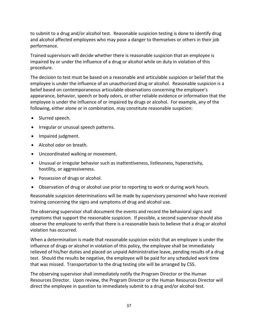to submit to a drug and/or alcohol test. Reasonable suspicion testing is done to identify drug and alcohol affected employees who may pose a danger to themselves or others in their job performance.

Trained supervisors will decide whether there is reasonable suspicion that an employee is impaired by or under the influence of a drug or alcohol while on duty in violation of this procedure.

The decision to test must be based on a reasonable and articulable suspicion or belief that the employee is under the influence of an unauthorized drug or alcohol. Reasonable suspicion is a belief based on contemporaneous articulable observations concerning the employee's appearance, behavior, speech or body odors, or other reliable evidence or information that the employee is under the influence of or impaired by drugs or alcohol. For example, any of the following, either alone or in combination, may constitute reasonable suspicion:

- Slurred speech.
- Irregular or unusual speech patterns.
- Impaired judgment.
- Alcohol odor on breath.
- Uncoordinated walking or movement.
- Unusual or irregular behavior such as inattentiveness, listlessness, hyperactivity, hostility, or aggressiveness.
- Possession of drugs or alcohol.
- Observation of drug or alcohol use prior to reporting to work or during work hours.

Reasonable suspicion determinations will be made by supervisory personnel who have received training concerning the signs and symptoms of drug and alcohol use.

The observing supervisor shall document the events and record the behavioral signs and symptoms that support the reasonable suspicion. If possible, a second supervisor should also observe the employee to verify that there is a reasonable basis to believe that a drug or alcohol violation has occurred.

When a determination is made that reasonable suspicion exists that an employee is under the influence of drugs or alcohol in violation of this policy, the employee shall be immediately relieved of his/her duties and placed on unpaid Administrative leave, pending results of a drug test. Should the results be negative, the employee will be paid for any scheduled work time that was missed. Transportation to the drug testing site will be arranged by CSS.

The observing supervisor shall immediately notify the Program Director or the Human Resources Director. Upon review, the Program Director or the Human Resources Director will direct the employee in question to immediately submit to a drug and/or alcohol test.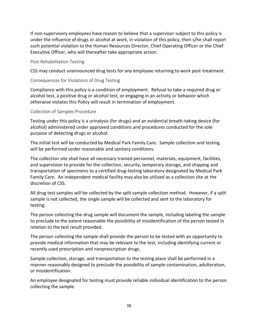If non-supervisory employees have reason to believe that a supervisor subject to this policy is under the influence of drugs or alcohol at work, in violation of this policy, then s/he shall report such potential violation to the Human Resources Director, Chief Operating Officer or the Chief Executive Officer, who will thereafter take appropriate action.

#### Post Rehabilitation Testing

CSS may conduct unannounced drug tests for any employee returning to work post-treatment.

#### Consequences for Violations of Drug Testing

Compliance with this policy is a condition of employment. Refusal to take a required drug or alcohol test, a positive drug or alcohol test, or engaging in an activity or behavior which otherwise violates this Policy will result in termination of employment.

#### Collection of Samples Procedure

Testing under this policy is a urinalysis (for drugs) and an evidential breath-taking device (for alcohol) administered under approved conditions and procedures conducted for the sole purpose of detecting drugs or alcohol.

The initial test will be conducted by Medical Park Family Care. Sample collection and testing will be performed under reasonable and sanitary conditions.

The collection site shall have all necessary trained personnel, materials, equipment, facilities, and supervision to provide for the collection, security, temporary storage, and shipping and transportation of specimens to a certified drug-testing laboratory designated by Medical Park Family Care. An independent medical facility may also be utilized as a collection site at the discretion of CSS.

All drug test samples will be collected by the split sample collection method. However, if a split sample is not collected, the single sample will be collected and sent to the laboratory for testing.

The person collecting the drug sample will document the sample, including labeling the sample to preclude to the extent reasonable the possibility of misidentification of the person tested in relation to the test result provided.

The person collecting the sample shall provide the person to be tested with an opportunity to provide medical information that may be relevant to the test, including identifying current or recently used prescription and nonprescription drugs.

Sample collection, storage, and transportation to the testing place shall be performed in a manner reasonably designed to preclude the possibility of sample contamination, adulteration, or misidentification.

An employee designated for testing must provide reliable individual identification to the person collecting the sample.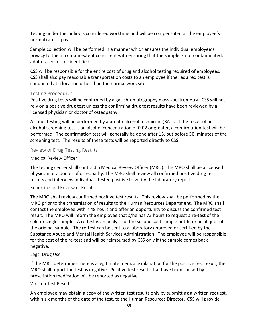Testing under this policy is considered worktime and will be compensated at the employee's normal rate of pay.

Sample collection will be performed in a manner which ensures the individual employee's privacy to the maximum extent consistent with ensuring that the sample is not contaminated, adulterated, or misidentified.

CSS will be responsible for the entire cost of drug and alcohol testing required of employees. CSS shall also pay reasonable transportation costs to an employee if the required test is conducted at a location other than the normal work site.

#### <span id="page-39-0"></span>Testing Procedures

Positive drug tests will be confirmed by a gas chromatography mass spectrometry. CSS will not rely on a positive drug test unless the confirming drug test results have been reviewed by a licensed physician or doctor of osteopathy.

Alcohol testing will be performed by a breath alcohol technician (BAT). If the result of an alcohol screening test is an alcohol concentration of 0.02 or greater, a confirmation test will be performed. The confirmation test will generally be done after 15, but before 30, minutes of the screening test. The results of these tests will be reported directly to CSS.

<span id="page-39-1"></span>Review of Drug Testing Results

#### Medical Review Officer

The testing center shall contract a Medical Review Officer (MRO). The MRO shall be a licensed physician or a doctor of osteopathy. The MRO shall review all confirmed positive drug test results and interview individuals tested positive to verify the laboratory report.

#### Reporting and Review of Results

The MRO shall review confirmed positive test results. This review shall be performed by the MRO prior to the transmission of results to the Human Resources Department. The MRO shall contact the employee within 48 hours and offer an opportunity to discuss the confirmed test result. The MRO will inform the employee that s/he has 72 hours to request a re-test of the split or single sample. A re-test is an analysis of the second split sample bottle or an aliquot of the original sample. The re-test can be sent to a laboratory approved or certified by the Substance Abuse and Mental Health Services Administration. The employee will be responsible for the cost of the re-test and will be reimbursed by CSS only if the sample comes back negative.

#### Legal Drug Use

If the MRO determines there is a legitimate medical explanation for the positive test result, the MRO shall report the test as negative. Positive test results that have been caused by prescription medication will be reported as negative.

#### Written Test Results

An employee may obtain a copy of the written test results only by submitting a written request, within six months of the date of the test, to the Human Resources Director. CSS will provide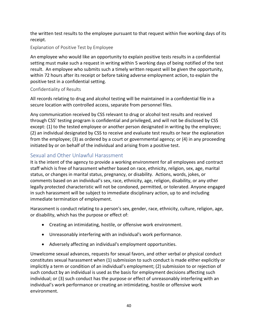the written test results to the employee pursuant to that request within five working days of its receipt.

## Explanation of Positive Test by Employee

An employee who would like an opportunity to explain positive tests results in a confidential setting must make such a request in writing within 5 working days of being notified of the test result. An employee who submits such a timely written request will be given the opportunity, within 72 hours after its receipt or before taking adverse employment action, to explain the positive test in a confidential setting.

## Confidentiality of Results

All records relating to drug and alcohol testing will be maintained in a confidential file in a secure location with controlled access, separate from personnel files.

Any communication received by CSS relevant to drug or alcohol test results and received through CSS' testing program is confidential and privileged, and will not be disclosed by CSS except: (1) to the tested employee or another person designated in writing by the employee; (2) an individual designated by CSS to receive and evaluate test results or hear the explanation from the employee; (3) as ordered by a court or governmental agency; or (4) in any proceeding initiated by or on behalf of the individual and arising from a positive test.

## <span id="page-40-0"></span>Sexual and Other Unlawful Harassment

It is the intent of the agency to provide a working environment for all employees and contract staff which is free of harassment whether based on race, ethnicity, religion, sex, age, marital status, or changes in marital status, pregnancy, or disability. Actions, words, jokes, or comments based on an individual's sex, race, ethnicity, age, religion, disability, or any other legally protected characteristic will not be condoned, permitted, or tolerated. Anyone engaged in such harassment will be subject to immediate disciplinary action, up to and including immediate termination of employment.

Harassment is conduct relating to a person's sex, gender, race, ethnicity, culture, religion, age, or disability, which has the purpose or effect of:

- Creating an intimidating, hostile, or offensive work environment.
- Unreasonably interfering with an individual's work performance.
- Adversely affecting an individual's employment opportunities.

Unwelcome sexual advances, requests for sexual favors, and other verbal or physical conduct constitutes sexual harassment when (1) submission to such conduct is made either explicitly or implicitly a term or condition of an individual's employment; (2) submission to or rejection of such conduct by an individual is used as the basis for employment decisions affecting such individual; or (3) such conduct has the purpose or effect of unreasonably interfering with an individual's work performance or creating an intimidating, hostile or offensive work environment.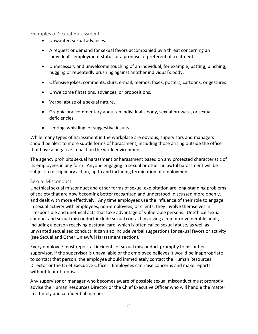#### <span id="page-41-0"></span>Examples of Sexual Harassment

- Unwanted sexual advances.
- A request or demand for sexual favors accompanied by a threat concerning an individual's employment status or a promise of preferential treatment.
- Unnecessary and unwelcome touching of an individual, for example, patting, pinching, hugging or repeatedly brushing against another individual's body.
- Offensive jokes, comments, slurs, e-mail, memos, faxes, posters, cartoons, or gestures.
- Unwelcome flirtations, advances, or propositions.
- Verbal abuse of a sexual nature.
- Graphic oral commentary about an individual's body, sexual prowess, or sexual deficiencies.
- Leering, whistling, or suggestive insults.

While many types of harassment in the workplace are obvious, supervisors and managers should be alert to more subtle forms of harassment, including those arising outside the office that have a negative impact on the work environment.

The agency prohibits sexual harassment or harassment based on any protected characteristic of its employees in any form. Anyone engaging in sexual or other unlawful harassment will be subject to disciplinary action, up to and including termination of employment.

#### <span id="page-41-1"></span>Sexual Misconduct

Unethical sexual misconduct and other forms of sexual exploitation are long-standing problems of society that are now becoming better recognized and understood, discussed more openly, and dealt with more effectively. Any time employees use the influence of their role to engage in sexual activity with employees, non-employees, or clients; they involve themselves in irresponsible and unethical acts that take advantage of vulnerable persons. Unethical sexual conduct and sexual misconduct include sexual contact involving a minor or vulnerable adult, including a person receiving pastoral care, which is often called sexual abuse, as well as unwanted sexualized conduct. It can also include verbal suggestions for sexual favors or activity (see Sexual and Other Unlawful Harassment section).

Every employee must report all incidents of sexual misconduct promptly to his or her supervisor. If the supervisor is unavailable or the employee believes it would be inappropriate to contact that person, the employee should immediately contact the Human Resources Director or the Chief Executive Officer. Employees can raise concerns and make reports without fear of reprisal.

Any supervisor or manager who becomes aware of possible sexual misconduct must promptly advise the Human Resources Director or the Chief Executive Officer who will handle the matter in a timely and confidential manner.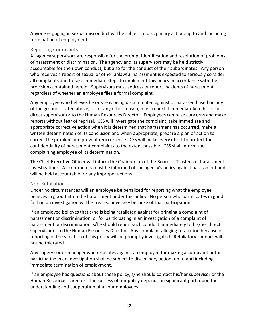Anyone engaging in sexual misconduct will be subject to disciplinary action, up to and including termination of employment.

#### <span id="page-42-0"></span>Reporting Complaints

All agency supervisors are responsible for the prompt identification and resolution of problems of harassment or discrimination. The agency and its supervisors may be held strictly accountable for their own conduct, but also for the conduct of their subordinates. Any person who receives a report of sexual or other unlawful harassment is expected to seriously consider all complaints and to take immediate steps to implement this policy in accordance with the provisions contained herein. Supervisors must address or report incidents of harassment regardless of whether an employee files a formal complaint.

Any employee who believes he or she is being discriminated against or harassed based on any of the grounds stated above, or for any other reason, must report it immediately to his or her direct supervisor or to the Human Resources Director. Employees can raise concerns and make reports without fear of reprisal. CSS will investigate the complaint, take immediate and appropriate corrective action when it is determined that harassment has occurred, make a written determination of its conclusion and when appropriate, prepare a plan of action to correct the problem and prevent reoccurrence. CSS will make every effort to protect the confidentiality of harassment complaints to the extent possible. CSS shall inform the complaining employee of its determination.

The Chief Executive Officer will inform the Chairperson of the Board of Trustees of harassment investigations. All contractors must be informed of the agency's policy against harassment and will be held accountable for any improper actions.

#### <span id="page-42-1"></span>Non-Retaliation

Under no circumstances will an employee be penalized for reporting what the employee believes in good faith to be harassment under this policy. No person who participates in good faith in an investigation will be treated adversely because of that participation.

If an employee believes that s/he is being retaliated against for bringing a complaint of harassment or discrimination, or for participating in an investigation of a complaint of harassment or discrimination, s/he should report such conduct immediately to his/her direct supervisor or to the Human Resources Director. Any complaint alleging retaliation because of reporting of the violation of this policy will be promptly investigated. Retaliatory conduct will not be tolerated.

Any supervisor or manager who retaliates against an employee for making a complaint or for participating in an investigation shall be subject to disciplinary action, up to and including immediate termination of employment.

If an employee has questions about these policy, s/he should contact his/her supervisor or the Human Resources Director. The success of our policy depends, in significant part, upon the understanding and cooperation of all our employees.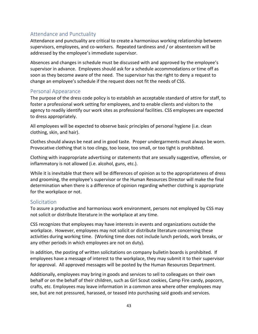## <span id="page-43-0"></span>Attendance and Punctuality

Attendance and punctuality are critical to create a harmonious working relationship between supervisors, employees, and co-workers. Repeated tardiness and / or absenteeism will be addressed by the employee's immediate supervisor.

Absences and changes in schedule must be discussed with and approved by the employee's supervisor in advance. Employees should ask for a schedule accommodations or time off as soon as they become aware of the need. The supervisor has the right to deny a request to change an employee's schedule if the request does not fit the needs of CSS.

### <span id="page-43-1"></span>Personal Appearance

The purpose of the dress code policy is to establish an acceptable standard of attire for staff, to foster a professional work setting for employees, and to enable clients and visitors to the agency to readily identify our work sites as professional facilities. CSS employees are expected to dress appropriately.

All employees will be expected to observe basic principles of personal hygiene (i.e. clean clothing, skin, and hair).

Clothes should always be neat and in good taste. Proper undergarments must always be worn. Provocative clothing that is too clingy, too loose, too small, or too tight is prohibited.

Clothing with inappropriate advertising or statements that are sexually suggestive, offensive, or inflammatory is not allowed (i.e. alcohol, guns, etc.).

While it is inevitable that there will be differences of opinion as to the appropriateness of dress and grooming, the employee's supervisor or the Human Resources Director will make the final determination when there is a difference of opinion regarding whether clothing is appropriate for the workplace or not.

## <span id="page-43-2"></span>**Solicitation**

To assure a productive and harmonious work environment, persons not employed by CSS may not solicit or distribute literature in the workplace at any time.

CSS recognizes that employees may have interests in events and organizations outside the workplace. However, employees may not solicit or distribute literature concerning these activities during working time. (Working time does not include lunch periods, work breaks, or any other periods in which employees are not on duty).

In addition, the posting of written solicitations on company bulletin boards is prohibited. If employees have a message of interest to the workplace, they may submit it to their supervisor for approval. All approved messages will be posted by the Human Resources Department.

Additionally, employees may bring in goods and services to sell to colleagues on their own behalf or on the behalf of their children, such as Girl Scout cookies, Camp Fire candy, popcorn, crafts, etc. Employees may leave information in a common area where other employees may see, but are not pressured, harassed, or teased into purchasing said goods and services.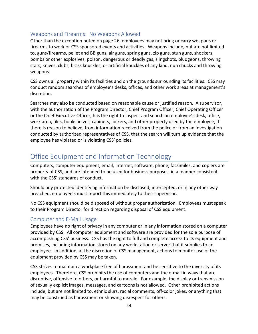## <span id="page-44-0"></span>Weapons and Firearms: No Weapons Allowed

Other than the exception noted on page 26, employees may not bring or carry weapons or firearms to work or CSS sponsored events and activities. Weapons include, but are not limited to, guns/firearms, pellet and BB guns, air guns, spring guns, zip guns, stun guns, shockers, bombs or other explosives, poison, dangerous or deadly gas, slingshots, bludgeons, throwing stars, knives, clubs, brass knuckles, or artificial knuckles of any kind, nun chucks and throwing weapons.

CSS owns all property within its facilities and on the grounds surrounding its facilities. CSS may conduct random searches of employee's desks, offices, and other work areas at management's discretion.

Searches may also be conducted based on reasonable cause or justified reason. A supervisor, with the authorization of the Program Director, Chief Program Officer, Chief Operating Officer or the Chief Executive Officer, has the right to inspect and search an employee's desk, office, work area, files, bookshelves, cabinets, lockers, and other property used by the employee, if there is reason to believe, from information received from the police or from an investigation conducted by authorized representatives of CSS, that the search will turn up evidence that the employee has violated or is violating CSS' policies.

## <span id="page-44-1"></span>Office Equipment and Information Technology

Computers, computer equipment, email, Internet, software, phone, facsimiles, and copiers are property of CSS, and are intended to be used for business purposes, in a manner consistent with the CSS' standards of conduct.

Should any protected identifying information be disclosed, intercepted, or in any other way breached, employee's must report this immediately to their supervisor.

No CSS equipment should be disposed of without proper authorization. Employees must speak to their Program Director for direction regarding disposal of CSS equipment.

#### <span id="page-44-2"></span>Computer and E-Mail Usage

Employees have no right of privacy in any computer or in any information stored on a computer provided by CSS. All computer equipment and software are provided for the sole purpose of accomplishing CSS' business. CSS has the right to full and complete access to its equipment and premises, including information stored on any workstation or server that it supplies to an employee. In addition, at the discretion of CSS management, actions to monitor use of the equipment provided by CSS may be taken.

CSS strives to maintain a workplace free of harassment and be sensitive to the diversity of its employees. Therefore, CSS prohibits the use of computers and the e-mail in ways that are disruptive, offensive to others, or harmful to morale. For example, the display or transmission of sexually explicit images, messages, and cartoons is not allowed. Other prohibited actions include, but are not limited to, ethnic slurs, racial comments, off-color jokes, or anything that may be construed as harassment or showing disrespect for others.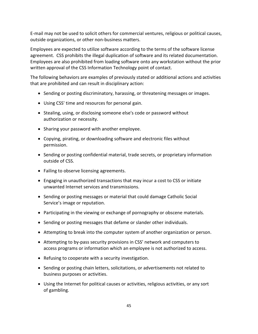E-mail may not be used to solicit others for commercial ventures, religious or political causes, outside organizations, or other non-business matters.

Employees are expected to utilize software according to the terms of the software license agreement. CSS prohibits the illegal duplication of software and its related documentation. Employees are also prohibited from loading software onto any workstation without the prior written approval of the CSS Information Technology point of contact.

The following behaviors are examples of previously stated or additional actions and activities that are prohibited and can result in disciplinary action:

- Sending or posting discriminatory, harassing, or threatening messages or images.
- Using CSS' time and resources for personal gain.
- Stealing, using, or disclosing someone else's code or password without authorization or necessity.
- Sharing your password with another employee.
- Copying, pirating, or downloading software and electronic files without permission.
- Sending or posting confidential material, trade secrets, or proprietary information outside of CSS.
- Failing to observe licensing agreements.
- Engaging in unauthorized transactions that may incur a cost to CSS or initiate unwanted Internet services and transmissions.
- Sending or posting messages or material that could damage Catholic Social Service's image or reputation.
- Participating in the viewing or exchange of pornography or obscene materials.
- Sending or posting messages that defame or slander other individuals.
- Attempting to break into the computer system of another organization or person.
- Attempting to by-pass security provisions in CSS' network and computers to access programs or information which an employee is not authorized to access.
- Refusing to cooperate with a security investigation.
- Sending or posting chain letters, solicitations, or advertisements not related to business purposes or activities.
- Using the Internet for political causes or activities, religious activities, or any sort of gambling.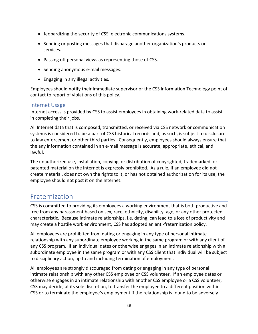- Jeopardizing the security of CSS' electronic communications systems.
- Sending or posting messages that disparage another organization's products or services.
- Passing off personal views as representing those of CSS.
- Sending anonymous e-mail messages.
- Engaging in any illegal activities.

Employees should notify their immediate supervisor or the CSS Information Technology point of contact to report of violations of this policy.

#### <span id="page-46-0"></span>Internet Usage

Internet access is provided by CSS to assist employees in obtaining work-related data to assist in completing their jobs.

All Internet data that is composed, transmitted, or received via CSS network or communication systems is considered to be a part of CSS historical records and, as such, is subject to disclosure to law enforcement or other third parties. Consequently, employees should always ensure that the any information contained in an e-mail message is accurate, appropriate, ethical, and lawful.

The unauthorized use, installation, copying, or distribution of copyrighted, trademarked, or patented material on the Internet is expressly prohibited. As a rule, if an employee did not create material, does not own the rights to it, or has not obtained authorization for its use, the employee should not post it on the Internet.

## <span id="page-46-1"></span>Fraternization

CSS is committed to providing its employees a working environment that is both productive and free from any harassment based on sex, race, ethnicity, disability, age, or any other protected characteristic. Because intimate relationships, i.e. dating, can lead to a loss of productivity and may create a hostile work environment, CSS has adopted an anti-fraternization policy.

All employees are prohibited from dating or engaging in any type of personal intimate relationship with any subordinate employee working in the same program or with any client of any CSS program. If an individual dates or otherwise engages in an intimate relationship with a subordinate employee in the same program or with any CSS client that individual will be subject to disciplinary action, up to and including termination of employment.

All employees are strongly discouraged from dating or engaging in any type of personal intimate relationship with any other CSS employee or CSS volunteer. If an employee dates or otherwise engages in an intimate relationship with another CSS employee or a CSS volunteer, CSS may decide, at its sole discretion, to transfer the employee to a different position within CSS or to terminate the employee's employment if the relationship is found to be adversely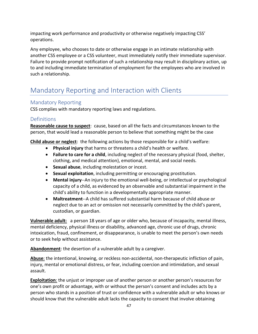impacting work performance and productivity or otherwise negatively impacting CSS' operations.

Any employee, who chooses to date or otherwise engage in an intimate relationship with another CSS employee or a CSS volunteer, must immediately notify their immediate supervisor. Failure to provide prompt notification of such a relationship may result in disciplinary action, up to and including immediate termination of employment for the employees who are involved in such a relationship.

## <span id="page-47-0"></span>Mandatory Reporting and Interaction with Clients

## <span id="page-47-1"></span>Mandatory Reporting

CSS complies with mandatory reporting laws and regulations.

## <span id="page-47-2"></span>**Definitions**

**Reasonable cause to suspect**: cause, based on all the facts and circumstances known to the person, that would lead a reasonable person to believe that something might be the case

**Child abuse or neglect**: the following actions by those responsible for a child's welfare:

- **Physical injury** that harms or threatens a child's health or welfare.
- **Failure to care for a child**, including neglect of the necessary physical (food, shelter, clothing, and medical attention), emotional, mental, and social needs*.*
- **Sexual abuse**, including molestation or incest.
- **Sexual exploitation**, including permitting or encouraging prostitution.
- **Mental injury**--An injury to the emotional well-being, or intellectual or psychological capacity of a child, as evidenced by an observable and substantial impairment in the child's ability to function in a developmentally appropriate manner.
- **Maltreatment**--A child has suffered substantial harm because of child abuse or neglect due to an act or omission not necessarily committed by the child's parent, custodian, or guardian.

**Vulnerable adult:** a person 18 years of age or older who, because of incapacity, mental illness, mental deficiency, physical illness or disability, advanced age, chronic use of drugs, chronic intoxication, fraud, confinement, or disappearance, is unable to meet the person's own needs or to seek help without assistance.

**Abandonment**: the desertion of a vulnerable adult by a caregiver.

**Abuse**: the intentional, knowing, or reckless non-accidental, non-therapeutic infliction of pain, injury, mental or emotional distress, or fear, including coercion and intimidation, and sexual assault.

**Exploitation**: the unjust or improper use of another person or another person's resources for one's own profit or advantage, with or without the person's consent and includes acts by a person who stands in a position of trust or confidence with a vulnerable adult or who knows or should know that the vulnerable adult lacks the capacity to consent that involve obtaining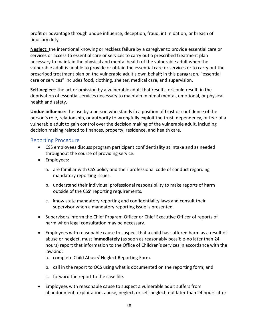profit or advantage through undue influence, deception, fraud, intimidation, or breach of fiduciary duty.

**Neglect:** the intentional knowing or reckless failure by a caregiver to provide essential care or services or access to essential care or services to carry out a prescribed treatment plan necessary to maintain the physical and mental health of the vulnerable adult when the vulnerable adult is unable to provide or obtain the essential care or services or to carry out the prescribed treatment plan on the vulnerable adult's own behalf; in this paragraph, "essential care or services" includes food, clothing, shelter, medical care, and supervision.

**Self-neglect**: the act or omission by a vulnerable adult that results, or could result, in the deprivation of essential services necessary to maintain minimal mental, emotional, or physical health and safety.

**Undue influence**: the use by a person who stands in a position of trust or confidence of the person's role, relationship, or authority to wrongfully exploit the trust, dependency, or fear of a vulnerable adult to gain control over the decision making of the vulnerable adult, including decision making related to finances, property, residence, and health care.

### <span id="page-48-0"></span>Reporting Procedure

- CSS employees discuss program participant confidentiality at intake and as needed throughout the course of providing service.
- Employees:
	- a. are familiar with CSS policy and their professional code of conduct regarding mandatory reporting issues.
	- b. understand their individual professional responsibility to make reports of harm outside of the CSS' reporting requirements.
	- c. know state mandatory reporting and confidentiality laws and consult their supervisor when a mandatory reporting issue is presented.
- Supervisors inform the Chief Program Officer or Chief Executive Officer of reports of harm when legal consultation may be necessary.
- Employees with reasonable cause to suspect that a child has suffered harm as a result of abuse or neglect, must **immediately** (as soon as reasonably possible-no later than 24 hours) report that information to the Office of Children's services in accordance with the law and:
	- a. complete Child Abuse/ Neglect Reporting Form.
	- b. call in the report to OCS using what is documented on the reporting form; and
	- c. forward the report to the case file.
- Employees with reasonable cause to suspect a vulnerable adult suffers from abandonment, exploitation, abuse, neglect, or self-neglect, not later than 24 hours after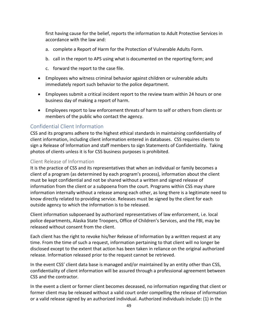first having cause for the belief, reports the information to Adult Protective Services in accordance with the law and:

- a. complete a Report of Harm for the Protection of Vulnerable Adults Form.
- b. call in the report to APS using what is documented on the reporting form; and
- c. forward the report to the case file.
- Employees who witness criminal behavior against children or vulnerable adults immediately report such behavior to the police department.
- Employees submit a critical incident report to the review team within 24 hours or one business day of making a report of harm.
- Employees report to law enforcement threats of harm to self or others from clients or members of the public who contact the agency.

## <span id="page-49-0"></span>Confidential Client Information

CSS and its programs adhere to the highest ethical standards in maintaining confidentiality of client information, including client information entered in databases. CSS requires clients to sign a Release of Information and staff members to sign Statements of Confidentiality. Taking photos of clients unless it is for CSS business purposes is prohibited.

### <span id="page-49-1"></span>Client Release of Information

It is the practice of CSS and its representatives that when an individual or family becomes a client of a program (as determined by each program's process), information about the client must be kept confidential and not be shared without a written and signed release of information from the client or a subpoena from the court. Programs within CSS may share information internally without a release among each other, as long there is a legitimate need to know directly related to providing service. Releases must be signed by the client for each outside agency to which the information is to be released.

Client information subpoenaed by authorized representatives of law enforcement, i.e. local police departments, Alaska State Troopers, Office of Children's Services, and the FBI, may be released without consent from the client.

Each client has the right to revoke his/her Release of Information by a written request at any time. From the time of such a request, information pertaining to that client will no longer be disclosed except to the extent that action has been taken in reliance on the original authorized release. Information released prior to the request cannot be retrieved.

In the event CSS' client data base is managed and/or maintained by an entity other than CSS, confidentiality of client information will be assured through a professional agreement between CSS and the contractor.

In the event a client or former client becomes deceased, no information regarding that client or former client may be released without a valid court order compelling the release of information or a valid release signed by an authorized individual. Authorized individuals include: (1) in the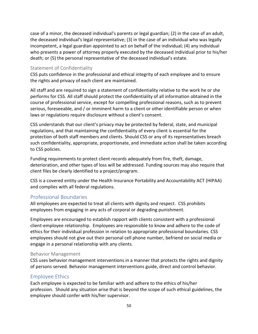case of a minor, the deceased individual's parents or legal guardian; (2) in the case of an adult, the deceased individual's legal representative; (3) in the case of an individual who was legally incompetent, a legal guardian appointed to act on behalf of the individual; (4) any individual who presents a power of attorney properly executed by the deceased individual prior to his/her death; or (5) the personal representative of the deceased individual's estate.

#### <span id="page-50-0"></span>Statement of Confidentiality

CSS puts confidence in the professional and ethical integrity of each employee and to ensure the rights and privacy of each client are maintained.

All staff and are required to sign a statement of confidentiality relative to the work he or she performs for CSS. All staff should protect the confidentiality of all information obtained in the course of professional service, except for compelling professional reasons, such as to prevent serious, foreseeable, and / or imminent harm to a client or other identifiable person or when laws or regulations require disclosure without a client's consent.

CSS understands that our client's privacy may be protected by federal, state, and municipal regulations, and that maintaining the confidentiality of every client is essential for the protection of both staff members and clients. Should CSS or any of its representatives breach such confidentiality, appropriate, proportionate, and immediate action shall be taken according to CSS policies.

Funding requirements to protect client records adequately from fire, theft, damage, deterioration, and other types of loss will be addressed. Funding sources may also require that client files be clearly identified to a project/program.

CSS is a covered entity under the Health Insurance Portability and Accountability ACT (HIPAA) and complies with all federal regulations.

#### <span id="page-50-1"></span>Professional Boundaries

All employees are expected to treat all clients with dignity and respect. CSS prohibits employees from engaging in any acts of corporal or degrading punishment.

Employees are encouraged to establish rapport with clients consistent with a professional client-employee relationship. Employees are responsible to know and adhere to the code of ethics for their individual profession in relation to appropriate professional boundaries. CSS employees should not give out their personal cell phone number, befriend on social media or engage in a personal relationship with any clients.

#### <span id="page-50-2"></span>Behavior Management

CSS uses behavior management interventions in a manner that protects the rights and dignity of persons served. Behavior management interventions guide, direct and control behavior.

#### <span id="page-50-3"></span>Employee Ethics

Each employee is expected to be familiar with and adhere to the ethics of his/her profession. Should any situation arise that is beyond the scope of such ethical guidelines, the employee should confer with his/her supervisor.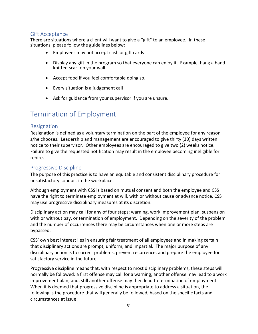## <span id="page-51-0"></span>Gift Acceptance

There are situations where a client will want to give a "gift" to an employee. In these situations, please follow the guidelines below:

- Employees may not accept cash or gift cards
- Display any gift in the program so that everyone can enjoy it. Example, hang a hand knitted scarf on your wall.
- Accept food if you feel comfortable doing so.
- Every situation is a judgement call
- Ask for guidance from your supervisor if you are unsure.

## <span id="page-51-1"></span>Termination of Employment

#### <span id="page-51-2"></span>Resignation

Resignation is defined as a voluntary termination on the part of the employee for any reason s/he chooses. Leadership and management are encouraged to give thirty (30) days written notice to their supervisor. Other employees are encouraged to give two (2) weeks notice. Failure to give the requested notification may result in the employee becoming ineligible for rehire.

#### <span id="page-51-3"></span>Progressive Discipline

The purpose of this practice is to have an equitable and consistent disciplinary procedure for unsatisfactory conduct in the workplace.

Although employment with CSS is based on mutual consent and both the employee and CSS have the right to terminate employment at will, with or without cause or advance notice, CSS may use progressive disciplinary measures at its discretion.

Disciplinary action may call for any of four steps: warning, work improvement plan, suspension with or without pay, or termination of employment. Depending on the severity of the problem and the number of occurrences there may be circumstances when one or more steps are bypassed.

CSS' own best interest lies in ensuring fair treatment of all employees and in making certain that disciplinary actions are prompt, uniform, and impartial. The major purpose of any disciplinary action is to correct problems, prevent recurrence, and prepare the employee for satisfactory service in the future.

Progressive discipline means that, with respect to most disciplinary problems, these steps will normally be followed: a first offense may call for a warning; another offense may lead to a work improvement plan; and, still another offense may then lead to termination of employment. When it is deemed that progressive discipline is appropriate to address a situation, the following is the procedure that will generally be followed, based on the specific facts and circumstances at issue: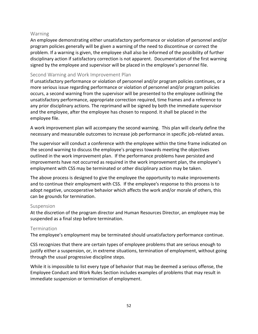#### <span id="page-52-0"></span>Warning

An employee demonstrating either unsatisfactory performance or violation of personnel and/or program policies generally will be given a warning of the need to discontinue or correct the problem. If a warning is given, the employee shall also be informed of the possibility of further disciplinary action if satisfactory correction is not apparent. Documentation of the first warning signed by the employee and supervisor will be placed in the employee's personnel file.

### <span id="page-52-1"></span>Second Warning and Work Improvement Plan

If unsatisfactory performance or violation of personnel and/or program policies continues, or a more serious issue regarding performance or violation of personnel and/or program policies occurs, a second warning from the supervisor will be presented to the employee outlining the unsatisfactory performance, appropriate correction required, time frames and a reference to any prior disciplinary actions. The reprimand will be signed by both the immediate supervisor and the employee, after the employee has chosen to respond. It shall be placed in the employee file.

A work improvement plan will accompany the second warning. This plan will clearly define the necessary and measurable outcomes to increase job performance in specific job-related areas.

The supervisor will conduct a conference with the employee within the time frame indicated on the second warning to discuss the employee's progress towards meeting the objectives outlined in the work improvement plan. If the performance problems have persisted and improvements have not occurred as required in the work improvement plan, the employee's employment with CSS may be terminated or other disciplinary action may be taken.

The above process is designed to give the employee the opportunity to make improvements and to continue their employment with CSS. If the employee's response to this process is to adopt negative, uncooperative behavior which affects the work and/or morale of others, this can be grounds for termination.

#### <span id="page-52-2"></span>Suspension

At the discretion of the program director and Human Resources Director, an employee may be suspended as a final step before termination.

## <span id="page-52-3"></span>Termination

The employee's employment may be terminated should unsatisfactory performance continue.

CSS recognizes that there are certain types of employee problems that are serious enough to justify either a suspension, or, in extreme situations, termination of employment, without going through the usual progressive discipline steps.

While it is impossible to list every type of behavior that may be deemed a serious offense, the Employee Conduct and Work Rules Section includes examples of problems that may result in immediate suspension or termination of employment.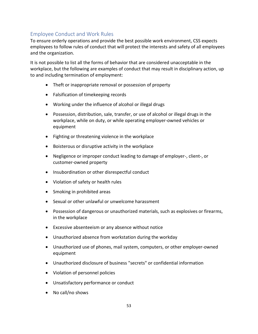## <span id="page-53-0"></span>Employee Conduct and Work Rules

To ensure orderly operations and provide the best possible work environment, CSS expects employees to follow rules of conduct that will protect the interests and safety of all employees and the organization.

It is not possible to list all the forms of behavior that are considered unacceptable in the workplace, but the following are examples of conduct that may result in disciplinary action, up to and including termination of employment:

- Theft or inappropriate removal or possession of property
- Falsification of timekeeping records
- Working under the influence of alcohol or illegal drugs
- Possession, distribution, sale, transfer, or use of alcohol or illegal drugs in the workplace, while on duty, or while operating employer-owned vehicles or equipment
- Fighting or threatening violence in the workplace
- Boisterous or disruptive activity in the workplace
- Negligence or improper conduct leading to damage of employer-, client-, or customer-owned property
- Insubordination or other disrespectful conduct
- Violation of safety or health rules
- Smoking in prohibited areas
- Sexual or other unlawful or unwelcome harassment
- Possession of dangerous or unauthorized materials, such as explosives or firearms, in the workplace
- Excessive absenteeism or any absence without notice
- Unauthorized absence from workstation during the workday
- Unauthorized use of phones, mail system, computers, or other employer-owned equipment
- Unauthorized disclosure of business "secrets" or confidential information
- Violation of personnel policies
- Unsatisfactory performance or conduct
- No call/no shows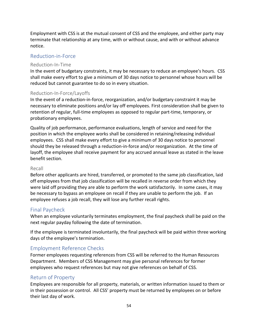Employment with CSS is at the mutual consent of CSS and the employee, and either party may terminate that relationship at any time, with or without cause, and with or without advance notice.

## <span id="page-54-0"></span>Reduction-in-Force

#### <span id="page-54-1"></span>Reduction-In-Time

In the event of budgetary constraints, it may be necessary to reduce an employee's hours. CSS shall make every effort to give a minimum of 30 days notice to personnel whose hours will be reduced but cannot guarantee to do so in every situation.

#### <span id="page-54-2"></span>Reduction-In-Force/Layoffs

In the event of a reduction-in-force, reorganization, and/or budgetary constraint it may be necessary to eliminate positions and/or lay off employees. First consideration shall be given to retention of regular, full-time employees as opposed to regular part-time, temporary, or probationary employees.

Quality of job performance, performance evaluations, length of service and need for the position in which the employee works shall be considered in retaining/releasing individual employees. CSS shall make every effort to give a minimum of 30 days notice to personnel should they be released through a reduction-in-force and/or reorganization. At the time of layoff, the employee shall receive payment for any accrued annual leave as stated in the leave benefit section.

#### <span id="page-54-3"></span>Recall

Before other applicants are hired, transferred, or promoted to the same job classification, laid off employees from that job classification will be recalled in reverse order from which they were laid off providing they are able to perform the work satisfactorily. In some cases, it may be necessary to bypass an employee on recall if they are unable to perform the job. If an employee refuses a job recall, they will lose any further recall rights.

## <span id="page-54-4"></span>Final Paycheck

When an employee voluntarily terminates employment, the final paycheck shall be paid on the next regular payday following the date of termination.

If the employee is terminated involuntarily, the final paycheck will be paid within three working days of the employee's termination.

## <span id="page-54-5"></span>Employment Reference Checks

Former employees requesting references from CSS will be referred to the Human Resources Department. Members of CSS Management may give personal references for former employees who request references but may not give references on behalf of CSS.

#### <span id="page-54-6"></span>Return of Property

Employees are responsible for all property, materials, or written information issued to them or in their possession or control. All CSS' property must be returned by employees on or before their last day of work.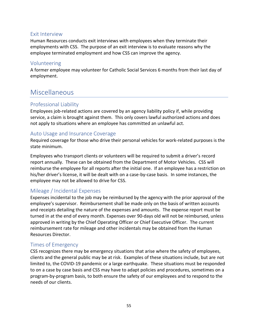## <span id="page-55-0"></span>Exit Interview

Human Resources conducts exit interviews with employees when they terminate their employments with CSS. The purpose of an exit interview is to evaluate reasons why the employee terminated employment and how CSS can improve the agency.

## <span id="page-55-1"></span>Volunteering

A former employee may volunteer for Catholic Social Services 6 months from their last day of employment.

## <span id="page-55-2"></span>Miscellaneous

## <span id="page-55-3"></span>Professional Liability

Employees job-related actions are covered by an agency liability policy if, while providing service, a claim is brought against them. This only covers lawful authorized actions and does not apply to situations where an employee has committed an unlawful act.

## <span id="page-55-4"></span>Auto Usage and Insurance Coverage

Required coverage for those who drive their personal vehicles for work-related purposes is the state minimum.

Employees who transport clients or volunteers will be required to submit a driver's record report annually. These can be obtained from the Department of Motor Vehicles. CSS will reimburse the employee for all reports after the initial one. If an employee has a restriction on his/her driver's license, it will be dealt with on a case-by-case basis. In some instances, the employee may not be allowed to drive for CSS.

## <span id="page-55-5"></span>Mileage / Incidental Expenses

Expenses incidental to the job may be reimbursed by the agency with the prior approval of the employee's supervisor. Reimbursement shall be made only on the basis of written accounts and receipts detailing the nature of the expenses and amounts. The expense report must be turned in at the end of every month. Expenses over 90-days old will not be reimbursed, unless approved in writing by the Chief Operating Officer or Chief Executive Officer. The current reimbursement rate for mileage and other incidentals may be obtained from the Human Resources Director.

## <span id="page-55-6"></span>Times of Emergency

CSS recognizes there may be emergency situations that arise where the safety of employees, clients and the general public may be at risk. Examples of these situations include, but are not limited to, the COVID-19 pandemic or a large earthquake. These situations must be responded to on a case by case basis and CSS may have to adapt policies and procedures, sometimes on a program-by-program basis, to both ensure the safety of our employees and to respond to the needs of our clients.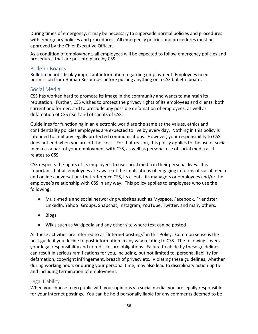During times of emergency, it may be necessary to supersede normal policies and procedures with emergency policies and procedures. All emergency policies and procedures must be approved by the Chief Executive Officer.

As a condition of employment, all employees will be expected to follow emergency policies and procedures that are put into place by CSS.

### <span id="page-56-0"></span>Bulletin Boards

Bulletin boards display important information regarding employment. Employees need permission from Human Resources before putting anything on a CSS bulletin board.

## <span id="page-56-1"></span>Social Media

CSS has worked hard to promote its image in the community and wants to maintain its reputation. Further, CSS wishes to protect the privacy rights of its employees and clients, both current and former, and to preclude any possible defamation of employees, as well as defamation of CSS itself and of clients of CSS.

Guidelines for functioning in an electronic world are the same as the values, ethics and confidentiality policies employees are expected to live by every day. Nothing in this policy is intended to limit any legally protected communications. However, your responsibility to CSS does not end when you are off the clock. For that reason, this policy applies to the use of social media as a part of your employment with CSS, as well as personal use of social media as it relates to CSS.

CSS respects the rights of its employees to use social media in their personal lives. It is important that all employees are aware of the implications of engaging in forms of social media and online conversations that reference CSS, its clients, its managers or employees and/or the employee's relationship with CSS in any way. This policy applies to employees who use the following:

- Multi-media and social networking websites such as Myspace, Facebook, Friendster, LinkedIn, Yahoo! Groups, Snapchat, Instagram, YouTube, Twitter, and many others.
- Blogs
- Wikis such as Wikipedia and any other site where text can be posted

All these activities are referred to as "Internet postings" in this Policy. Common sense is the best guide if you decide to post information in any way relating to CSS. The following covers your legal responsibility and non-disclosure obligations. Failure to abide by these guidelines can result in serious ramifications for you, including, but not limited to, personal liability for defamation, copyright infringement, breach of privacy etc. Violating these guidelines, whether during working hours or during your personal time, may also lead to disciplinary action up to and including termination of employment.

#### <span id="page-56-2"></span>Legal Liability

When you choose to go public with your opinions via social media, you are legally responsible for your Internet postings. You can be held personally liable for any comments deemed to be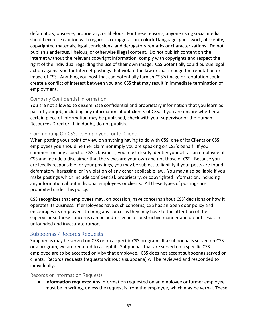defamatory, obscene, proprietary, or libelous. For these reasons, anyone using social media should exercise caution with regards to exaggeration, colorful language, guesswork, obscenity, copyrighted materials, legal conclusions, and derogatory remarks or characterizations. Do not publish slanderous, libelous, or otherwise illegal content. Do not publish content on the internet without the relevant copyright information; comply with copyrights and respect the right of the individual regarding the use of their own image. CSS potentially could pursue legal action against you for Internet postings that violate the law or that impugn the reputation or image of CSS. Anything you post that can potentially tarnish CSS's image or reputation could create a conflict of interest between you and CSS that may result in immediate termination of employment.

#### <span id="page-57-0"></span>Company Confidential Information

You are not allowed to disseminate confidential and proprietary information that you learn as part of your job, including any information about clients of CSS. If you are unsure whether a certain piece of information may be published, check with your supervisor or the Human Resources Director. If in doubt, do not publish.

#### <span id="page-57-1"></span>Commenting On CSS, Its Employees, or Its Clients

When posting your point of view on anything having to do with CSS, one of its Clients or CSS employees you should neither claim nor imply you are speaking on CSS's behalf. If you comment on any aspect of CSS's business, you must clearly identify yourself as an employee of CSS and include a disclaimer that the views are your own and not those of CSS. Because you are legally responsible for your postings, you may be subject to liability if your posts are found defamatory, harassing, or in violation of any other applicable law. You may also be liable if you make postings which include confidential, proprietary, or copyrighted information, including any information about individual employees or clients. All these types of postings are prohibited under this policy.

CSS recognizes that employees may, on occasion, have concerns about CSS' decisions or how it operates its business. If employees have such concerns, CSS has an open door policy and encourages its employees to bring any concerns they may have to the attention of their supervisor so those concerns can be addressed in a constructive manner and do not result in unfounded and inaccurate rumors.

#### <span id="page-57-2"></span>Subpoenas / Records Requests

Subpoenas may be served on CSS or on a specific CSS program. If a subpoena is served on CSS or a program, we are required to accept it. Subpoenas that are served on a specific CSS employee are to be accepted only by that employee. CSS does not accept subpoenas served on clients. Records requests (requests without a subpoena) will be reviewed and responded to individually.

#### <span id="page-57-3"></span>Records or Information Requests

• **Information requests:** Any information requested on an employee or former employee must be in writing, unless the request is from the employee, which may be verbal. These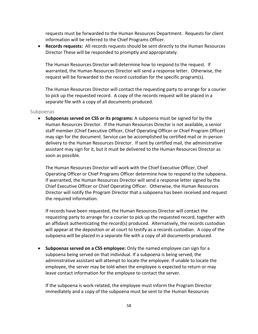requests must be forwarded to the Human Resources Department. Requests for client information will be referred to the Chief Programs Officer.

• **Records requests:** All records requests should be sent directly to the Human Resources Director These will be responded to promptly and appropriately.

The Human Resources Director will determine how to respond to the request. If warranted, the Human Resources Director will send a response letter. Otherwise, the request will be forwarded to the record custodian for the specific program(s).

The Human Resources Director will contact the requesting party to arrange for a courier to pick up the requested record. A copy of the records request will be placed in a separate file with a copy of all documents produced.

#### <span id="page-58-0"></span>Subpoenas

• **Subpoenas served on CSS or its programs:** A subpoena must be signed for by the Human Resources Director. If the Human Resources Director is not available, a senior staff member (Chief Executive Officer, Chief Operating Officer or Chief Program Officer) may sign for the document. Service can be accomplished by certified mail or in-person delivery to the Human Resources Director. If sent by certified mail, the administrative assistant may sign for it, but it must be delivered to the Human Resources Director as soon as possible.

The Human Resources Director will work with the Chief Executive Officer, Chief Operating Officer or Chief Programs Officer determine how to respond to the subpoena. If warranted, the Human Resources Director will send a response letter signed by the Chief Executive Officer or Chief Operating Officer. Otherwise, the Human Resources Director will notify the Program Director that a subpoena has been received and request the required information.

If records have been requested, the Human Resources Director will contact the requesting party to arrange for a courier to pick up the requested record, together with an affidavit authenticating the record(s) produced. Alternatively, the records custodian will appear at the deposition or at court to testify as a records custodian. A copy of the subpoena will be placed in a separate file with a copy of all documents produced.

• **Subpoenas served on a CSS employee:** Only the named employee can sign for a subpoena being served on that individual. If a subpoena is being served, the administrative assistant will attempt to locate the employee. If unable to locate the employee, the server may be told when the employee is expected to return or may leave contact information for the employee to contact the server.

If the subpoena is work-related, the employee must inform the Program Director immediately and a copy of the subpoena must be sent to the Human Resources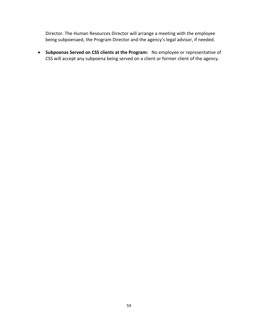Director. The Human Resources Director will arrange a meeting with the employee being subpoenaed, the Program Director and the agency's legal advisor, if needed.

• **Subpoenas Served on CSS clients at the Program:** No employee or representative of CSS will accept any subpoena being served on a client or former client of the agency.